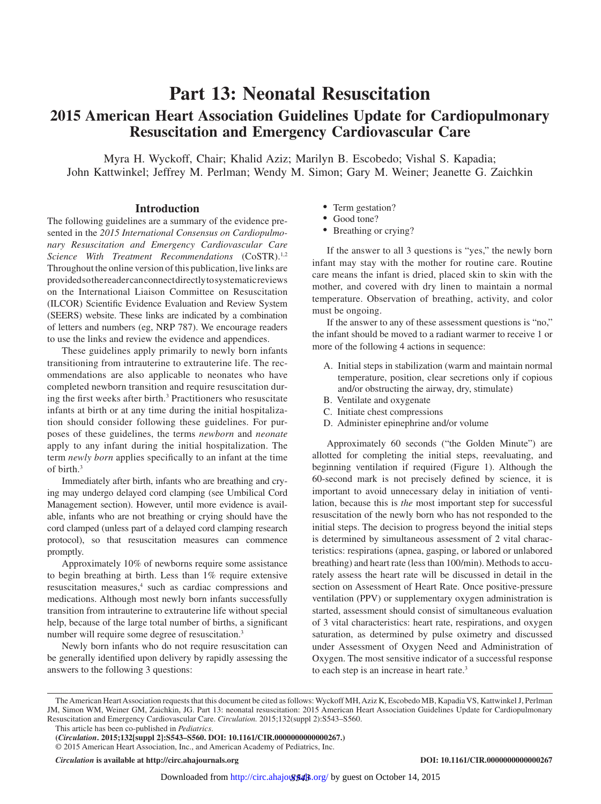# **Part 13: Neonatal Resuscitation 2015 American Heart Association Guidelines Update for Cardiopulmonary Resuscitation and Emergency Cardiovascular Care**

Myra H. Wyckoff, Chair; Khalid Aziz; Marilyn B. Escobedo; Vishal S. Kapadia; John Kattwinkel; Jeffrey M. Perlman; Wendy M. Simon; Gary M. Weiner; Jeanette G. Zaichkin

### **Introduction**

The following guidelines are a summary of the evidence presented in the *2015 International Consensus on Cardiopulmonary Resuscitation and Emergency Cardiovascular Care Science With Treatment Recommendations* (CoSTR).<sup>1,2</sup> Throughout the online version of this publication, live links are provided so the reader can connect directly to systematic reviews on the International Liaison Committee on Resuscitation (ILCOR) Scientific Evidence Evaluation and Review System (SEERS) website. These links are indicated by a combination of letters and numbers (eg, NRP 787). We encourage readers to use the links and review the evidence and appendices.

These guidelines apply primarily to newly born infants transitioning from intrauterine to extrauterine life. The recommendations are also applicable to neonates who have completed newborn transition and require resuscitation during the first weeks after birth.<sup>3</sup> Practitioners who resuscitate infants at birth or at any time during the initial hospitalization should consider following these guidelines. For purposes of these guidelines, the terms *newborn* and *neonate* apply to any infant during the initial hospitalization. The term *newly born* applies specifically to an infant at the time of birth.3

Immediately after birth, infants who are breathing and crying may undergo delayed cord clamping (see Umbilical Cord Management section). However, until more evidence is available, infants who are not breathing or crying should have the cord clamped (unless part of a delayed cord clamping research protocol), so that resuscitation measures can commence promptly.

Approximately 10% of newborns require some assistance to begin breathing at birth. Less than 1% require extensive resuscitation measures,<sup>4</sup> such as cardiac compressions and medications. Although most newly born infants successfully transition from intrauterine to extrauterine life without special help, because of the large total number of births, a significant number will require some degree of resuscitation.<sup>3</sup>

Newly born infants who do not require resuscitation can be generally identified upon delivery by rapidly assessing the answers to the following 3 questions:

- Term gestation?
- Good tone?
- Breathing or crying?

If the answer to all 3 questions is "yes," the newly born infant may stay with the mother for routine care. Routine care means the infant is dried, placed skin to skin with the mother, and covered with dry linen to maintain a normal temperature. Observation of breathing, activity, and color must be ongoing.

If the answer to any of these assessment questions is "no," the infant should be moved to a radiant warmer to receive 1 or more of the following 4 actions in sequence:

- A. Initial steps in stabilization (warm and maintain normal temperature, position, clear secretions only if copious and/or obstructing the airway, dry, stimulate)
- B. Ventilate and oxygenate
- C. Initiate chest compressions
- D. Administer epinephrine and/or volume

Approximately 60 seconds ("the Golden Minute") are allotted for completing the initial steps, reevaluating, and beginning ventilation if required (Figure 1). Although the 60-second mark is not precisely defined by science, it is important to avoid unnecessary delay in initiation of ventilation, because this is *the* most important step for successful resuscitation of the newly born who has not responded to the initial steps. The decision to progress beyond the initial steps is determined by simultaneous assessment of 2 vital characteristics: respirations (apnea, gasping, or labored or unlabored breathing) and heart rate (less than 100/min). Methods to accurately assess the heart rate will be discussed in detail in the section on Assessment of Heart Rate. Once positive-pressure ventilation (PPV) or supplementary oxygen administration is started, assessment should consist of simultaneous evaluation of 3 vital characteristics: heart rate, respirations, and oxygen saturation, as determined by pulse oximetry and discussed under Assessment of Oxygen Need and Administration of Oxygen. The most sensitive indicator of a successful response to each step is an increase in heart rate.<sup>3</sup>

*Circulation* **is available at http://circ.ahajournals.org DOI: 10.1161/CIR.0000000000000267**

The American Heart Association requests that this document be cited as follows: Wyckoff MH, Aziz K, Escobedo MB, Kapadia VS, Kattwinkel J, Perlman JM, Simon WM, Weiner GM, Zaichkin, JG. Part 13: neonatal resuscitation: 2015 American Heart Association Guidelines Update for Cardiopulmonary Resuscitation and Emergency Cardiovascular Care. *Circulation.* 2015;132(suppl 2):S543–S560.

This article has been co-published in *Pediatrics*.

**<sup>(</sup>***Circulation***. 2015;132[suppl 2]:S543–S560. DOI: 10.1161/CIR.0000000000000267.)** © 2015 American Heart Association, Inc., and American Academy of Pediatrics, Inc.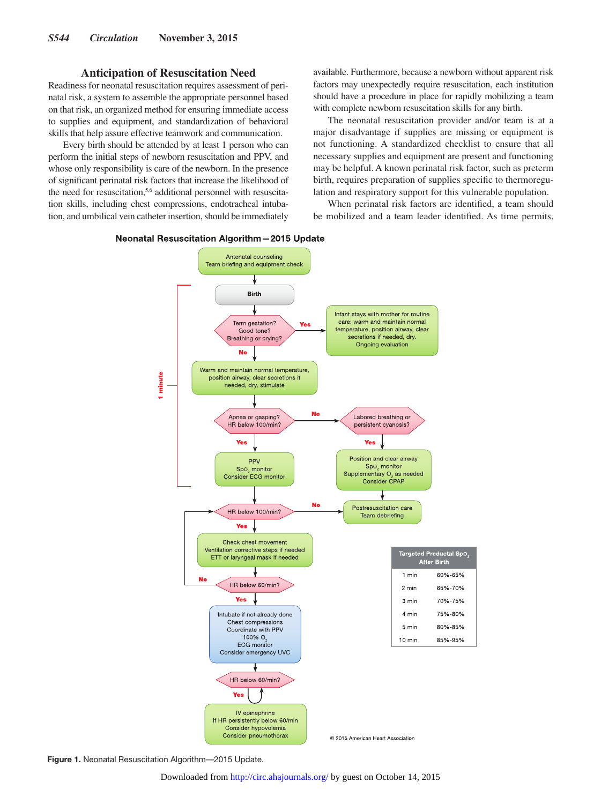### **Anticipation of Resuscitation Need**

Readiness for neonatal resuscitation requires assessment of perinatal risk, a system to assemble the appropriate personnel based on that risk, an organized method for ensuring immediate access to supplies and equipment, and standardization of behavioral skills that help assure effective teamwork and communication.

Every birth should be attended by at least 1 person who can perform the initial steps of newborn resuscitation and PPV, and whose only responsibility is care of the newborn. In the presence of significant perinatal risk factors that increase the likelihood of the need for resuscitation,<sup>5,6</sup> additional personnel with resuscitation skills, including chest compressions, endotracheal intubation, and umbilical vein catheter insertion, should be immediately available. Furthermore, because a newborn without apparent risk factors may unexpectedly require resuscitation, each institution should have a procedure in place for rapidly mobilizing a team with complete newborn resuscitation skills for any birth.

The neonatal resuscitation provider and/or team is at a major disadvantage if supplies are missing or equipment is not functioning. A standardized checklist to ensure that all necessary supplies and equipment are present and functioning may be helpful. A known perinatal risk factor, such as preterm birth, requires preparation of supplies specific to thermoregulation and respiratory support for this vulnerable population.

When perinatal risk factors are identified, a team should be mobilized and a team leader identified. As time permits,



#### Neonatal Resuscitation Algorithm-2015 Update

**Figure 1.** Neonatal Resuscitation Algorithm—2015 Update.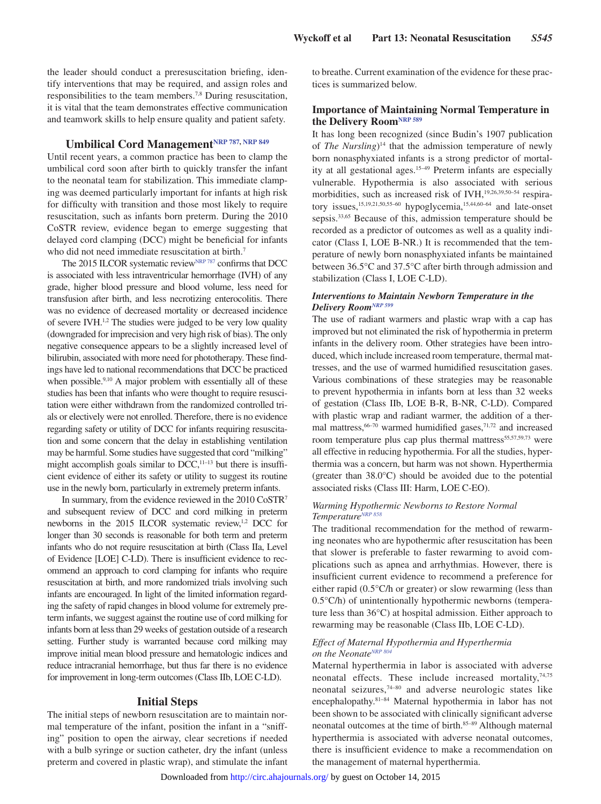the leader should conduct a preresuscitation briefing, identify interventions that may be required, and assign roles and responsibilities to the team members.<sup>7,8</sup> During resuscitation, it is vital that the team demonstrates effective communication and teamwork skills to help ensure quality and patient safety.

# **Umbilical Cord Management[NRP 787](https://volunteer.heart.org/apps/pico/Pages/PublicComment.aspx?q=787), [NRP 849](https://volunteer.heart.org/apps/pico/Pages/PublicComment.aspx?q=849)**

Until recent years, a common practice has been to clamp the umbilical cord soon after birth to quickly transfer the infant to the neonatal team for stabilization. This immediate clamping was deemed particularly important for infants at high risk for difficulty with transition and those most likely to require resuscitation, such as infants born preterm. During the 2010 CoSTR review, evidence began to emerge suggesting that delayed cord clamping (DCC) might be beneficial for infants who did not need immediate resuscitation at birth.<sup>7</sup>

The 2015 ILCOR systematic review<sup>NRP 787</sup> confirms that DCC is associated with less intraventricular hemorrhage (IVH) of any grade, higher blood pressure and blood volume, less need for transfusion after birth, and less necrotizing enterocolitis. There was no evidence of decreased mortality or decreased incidence of severe IVH.<sup>1,2</sup> The studies were judged to be very low quality (downgraded for imprecision and very high risk of bias). The only negative consequence appears to be a slightly increased level of bilirubin, associated with more need for phototherapy. These findings have led to national recommendations that DCC be practiced when possible.<sup>9,10</sup> A major problem with essentially all of these studies has been that infants who were thought to require resuscitation were either withdrawn from the randomized controlled trials or electively were not enrolled. Therefore, there is no evidence regarding safety or utility of DCC for infants requiring resuscitation and some concern that the delay in establishing ventilation may be harmful. Some studies have suggested that cord "milking" might accomplish goals similar to  $DCC$ ,<sup>11-13</sup> but there is insufficient evidence of either its safety or utility to suggest its routine use in the newly born, particularly in extremely preterm infants.

In summary, from the evidence reviewed in the 2010 CoSTR7 and subsequent review of DCC and cord milking in preterm newborns in the 2015 ILCOR systematic review,<sup>1,2</sup> DCC for longer than 30 seconds is reasonable for both term and preterm infants who do not require resuscitation at birth (Class IIa, Level of Evidence [LOE] C-LD). There is insufficient evidence to recommend an approach to cord clamping for infants who require resuscitation at birth, and more randomized trials involving such infants are encouraged. In light of the limited information regarding the safety of rapid changes in blood volume for extremely preterm infants, we suggest against the routine use of cord milking for infants born at less than 29 weeks of gestation outside of a research setting. Further study is warranted because cord milking may improve initial mean blood pressure and hematologic indices and reduce intracranial hemorrhage, but thus far there is no evidence for improvement in long-term outcomes (Class IIb, LOE C-LD).

### **Initial Steps**

The initial steps of newborn resuscitation are to maintain normal temperature of the infant, position the infant in a "sniffing" position to open the airway, clear secretions if needed with a bulb syringe or suction catheter, dry the infant (unless preterm and covered in plastic wrap), and stimulate the infant to breathe. Current examination of the evidence for these practices is summarized below.

## **Importance of Maintaining Normal Temperature in the Delivery Room[NRP 589](https://volunteer.heart.org/apps/pico/Pages/PublicComment.aspx?q=589)**

It has long been recognized (since Budin's 1907 publication of *The Nursling*) 14 that the admission temperature of newly born nonasphyxiated infants is a strong predictor of mortality at all gestational ages.15–49 Preterm infants are especially vulnerable. Hypothermia is also associated with serious morbidities, such as increased risk of IVH,<sup>19,26,39,50-54</sup> respiratory issues,<sup>15,19,21,50,55-60</sup> hypoglycemia,<sup>15,44,60-64</sup> and late-onset sepsis.<sup>33,65</sup> Because of this, admission temperature should be recorded as a predictor of outcomes as well as a quality indicator (Class I, LOE B-NR.) It is recommended that the temperature of newly born nonasphyxiated infants be maintained between 36.5°C and 37.5°C after birth through admission and stabilization (Class I, LOE C-LD).

### *Interventions to Maintain Newborn Temperature in the Delivery Roo[mNRP 599](https://volunteer.heart.org/apps/pico/Pages/PublicComment.aspx?q=599)*

The use of radiant warmers and plastic wrap with a cap has improved but not eliminated the risk of hypothermia in preterm infants in the delivery room. Other strategies have been introduced, which include increased room temperature, thermal mattresses, and the use of warmed humidified resuscitation gases. Various combinations of these strategies may be reasonable to prevent hypothermia in infants born at less than 32 weeks of gestation (Class IIb, LOE B-R, B-NR, C-LD). Compared with plastic wrap and radiant warmer, the addition of a thermal mattress, $66-70$  warmed humidified gases, $71,72$  and increased room temperature plus cap plus thermal mattress<sup>55,57,59,73</sup> were all effective in reducing hypothermia. For all the studies, hyperthermia was a concern, but harm was not shown. Hyperthermia (greater than 38.0°C) should be avoided due to the potential associated risks (Class III: Harm, LOE C-EO).

### *Warming Hypothermic Newborns to Restore Normal Temperature[NRP 858](https://volunteer.heart.org/apps/pico/Pages/PublicComment.aspx?q=858)*

The traditional recommendation for the method of rewarming neonates who are hypothermic after resuscitation has been that slower is preferable to faster rewarming to avoid complications such as apnea and arrhythmias. However, there is insufficient current evidence to recommend a preference for either rapid (0.5°C/h or greater) or slow rewarming (less than 0.5°C/h) of unintentionally hypothermic newborns (temperature less than 36°C) at hospital admission. Either approach to rewarming may be reasonable (Class IIb, LOE C-LD).

### *Effect of Maternal Hypothermia and Hyperthermia on the Neonate[NRP 804](https://volunteer.heart.org/apps/pico/Pages/PublicComment.aspx?q=804)*

Maternal hyperthermia in labor is associated with adverse neonatal effects. These include increased mortality,<sup>74,75</sup> neonatal seizures,74–80 and adverse neurologic states like encephalopathy.81–84 Maternal hypothermia in labor has not been shown to be associated with clinically significant adverse neonatal outcomes at the time of birth.<sup>85-89</sup> Although maternal hyperthermia is associated with adverse neonatal outcomes, there is insufficient evidence to make a recommendation on the management of maternal hyperthermia.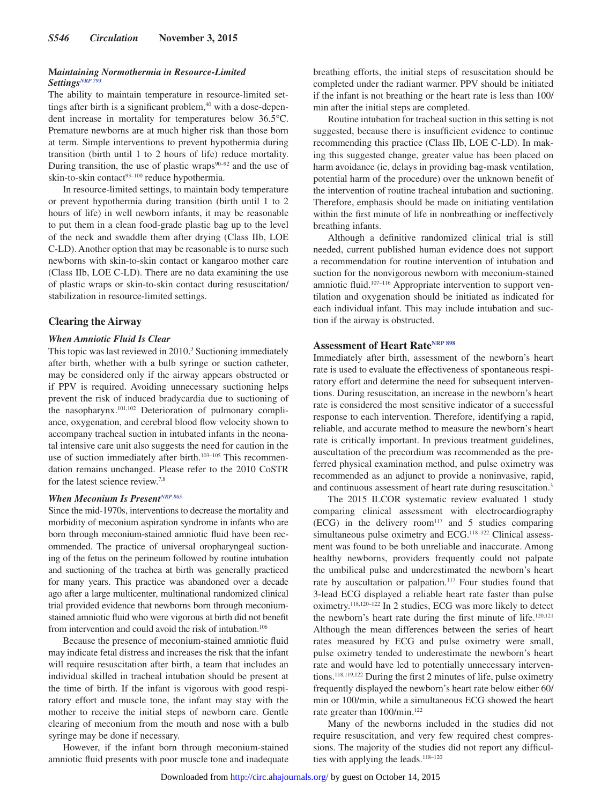### **M***aintaining Normothermia in Resource-Limited*  Setting<sub>*SNRP* 793</sup></sub>

The ability to maintain temperature in resource-limited settings after birth is a significant problem,<sup>40</sup> with a dose-dependent increase in mortality for temperatures below 36.5°C. Premature newborns are at much higher risk than those born at term. Simple interventions to prevent hypothermia during transition (birth until 1 to 2 hours of life) reduce mortality. During transition, the use of plastic wraps $90-92$  and the use of skin-to-skin contact $93-100$  reduce hypothermia.

In resource-limited settings, to maintain body temperature or prevent hypothermia during transition (birth until 1 to 2 hours of life) in well newborn infants, it may be reasonable to put them in a clean food-grade plastic bag up to the level of the neck and swaddle them after drying (Class IIb, LOE C-LD). Another option that may be reasonable is to nurse such newborns with skin-to-skin contact or kangaroo mother care (Class IIb, LOE C-LD). There are no data examining the use of plastic wraps or skin-to-skin contact during resuscitation/ stabilization in resource-limited settings.

## **Clearing the Airway**

### *When Amniotic Fluid Is Clear*

This topic was last reviewed in 2010.<sup>3</sup> Suctioning immediately after birth, whether with a bulb syringe or suction catheter, may be considered only if the airway appears obstructed or if PPV is required. Avoiding unnecessary suctioning helps prevent the risk of induced bradycardia due to suctioning of the nasopharynx.101,102 Deterioration of pulmonary compliance, oxygenation, and cerebral blood flow velocity shown to accompany tracheal suction in intubated infants in the neonatal intensive care unit also suggests the need for caution in the use of suction immediately after birth.<sup>103-105</sup> This recommendation remains unchanged. Please refer to the 2010 CoSTR for the latest science review.7,8

### *When Meconium Is Present[NRP 865](https://volunteer.heart.org/apps/pico/Pages/PublicComment.aspx?q=865)*

Since the mid-1970s, interventions to decrease the mortality and morbidity of meconium aspiration syndrome in infants who are born through meconium-stained amniotic fluid have been recommended. The practice of universal oropharyngeal suctioning of the fetus on the perineum followed by routine intubation and suctioning of the trachea at birth was generally practiced for many years. This practice was abandoned over a decade ago after a large multicenter, multinational randomized clinical trial provided evidence that newborns born through meconiumstained amniotic fluid who were vigorous at birth did not benefit from intervention and could avoid the risk of intubation.<sup>106</sup>

Because the presence of meconium-stained amniotic fluid may indicate fetal distress and increases the risk that the infant will require resuscitation after birth, a team that includes an individual skilled in tracheal intubation should be present at the time of birth. If the infant is vigorous with good respiratory effort and muscle tone, the infant may stay with the mother to receive the initial steps of newborn care. Gentle clearing of meconium from the mouth and nose with a bulb syringe may be done if necessary.

However, if the infant born through meconium-stained amniotic fluid presents with poor muscle tone and inadequate

breathing efforts, the initial steps of resuscitation should be completed under the radiant warmer. PPV should be initiated if the infant is not breathing or the heart rate is less than 100/ min after the initial steps are completed.

Routine intubation for tracheal suction in this setting is not suggested, because there is insufficient evidence to continue recommending this practice (Class IIb, LOE C-LD). In making this suggested change, greater value has been placed on harm avoidance (ie, delays in providing bag-mask ventilation, potential harm of the procedure) over the unknown benefit of the intervention of routine tracheal intubation and suctioning. Therefore, emphasis should be made on initiating ventilation within the first minute of life in nonbreathing or ineffectively breathing infants.

Although a definitive randomized clinical trial is still needed, current published human evidence does not support a recommendation for routine intervention of intubation and suction for the nonvigorous newborn with meconium-stained amniotic fluid.<sup>107-116</sup> Appropriate intervention to support ventilation and oxygenation should be initiated as indicated for each individual infant. This may include intubation and suction if the airway is obstructed.

## **Assessment of Heart Rat[eNRP 898](https://volunteer.heart.org/apps/pico/Pages/PublicComment.aspx?q=898)**

Immediately after birth, assessment of the newborn's heart rate is used to evaluate the effectiveness of spontaneous respiratory effort and determine the need for subsequent interventions. During resuscitation, an increase in the newborn's heart rate is considered the most sensitive indicator of a successful response to each intervention. Therefore, identifying a rapid, reliable, and accurate method to measure the newborn's heart rate is critically important. In previous treatment guidelines, auscultation of the precordium was recommended as the preferred physical examination method, and pulse oximetry was recommended as an adjunct to provide a noninvasive, rapid, and continuous assessment of heart rate during resuscitation.<sup>3</sup>

The 2015 ILCOR systematic review evaluated 1 study comparing clinical assessment with electrocardiography  $(ECG)$  in the delivery room<sup>117</sup> and 5 studies comparing simultaneous pulse oximetry and ECG.<sup>118-122</sup> Clinical assessment was found to be both unreliable and inaccurate. Among healthy newborns, providers frequently could not palpate the umbilical pulse and underestimated the newborn's heart rate by auscultation or palpation.<sup>117</sup> Four studies found that 3-lead ECG displayed a reliable heart rate faster than pulse oximetry.118,120–122 In 2 studies, ECG was more likely to detect the newborn's heart rate during the first minute of life.<sup>120,121</sup> Although the mean differences between the series of heart rates measured by ECG and pulse oximetry were small, pulse oximetry tended to underestimate the newborn's heart rate and would have led to potentially unnecessary interventions.118,119,122 During the first 2 minutes of life, pulse oximetry frequently displayed the newborn's heart rate below either 60/ min or 100/min, while a simultaneous ECG showed the heart rate greater than 100/min.122

Many of the newborns included in the studies did not require resuscitation, and very few required chest compressions. The majority of the studies did not report any difficulties with applying the leads. $118-120$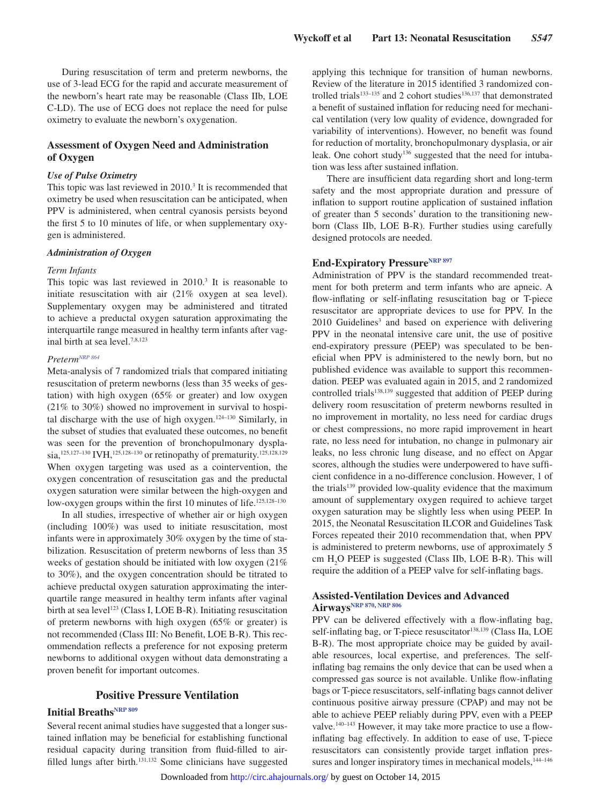During resuscitation of term and preterm newborns, the use of 3-lead ECG for the rapid and accurate measurement of the newborn's heart rate may be reasonable (Class IIb, LOE C-LD). The use of ECG does not replace the need for pulse oximetry to evaluate the newborn's oxygenation.

### **Assessment of Oxygen Need and Administration of Oxygen**

### *Use of Pulse Oximetry*

This topic was last reviewed in 2010.<sup>3</sup> It is recommended that oximetry be used when resuscitation can be anticipated, when PPV is administered, when central cyanosis persists beyond the first 5 to 10 minutes of life, or when supplementary oxygen is administered.

### *Administration of Oxygen*

### *Term Infants*

This topic was last reviewed in 2010.<sup>3</sup> It is reasonable to initiate resuscitation with air (21% oxygen at sea level). Supplementary oxygen may be administered and titrated to achieve a preductal oxygen saturation approximating the interquartile range measured in healthy term infants after vaginal birth at sea level.7,8,123

### *Preterm[NRP 864](https://volunteer.heart.org/apps/pico/Pages/PublicComment.aspx?q=864)*

Meta-analysis of 7 randomized trials that compared initiating resuscitation of preterm newborns (less than 35 weeks of gestation) with high oxygen (65% or greater) and low oxygen (21% to 30%) showed no improvement in survival to hospital discharge with the use of high oxygen. $124-130$  Similarly, in the subset of studies that evaluated these outcomes, no benefit was seen for the prevention of bronchopulmonary dysplasia,<sup>125,127–130</sup> IVH,<sup>125,128–130</sup> or retinopathy of prematurity.<sup>125,128,129</sup> When oxygen targeting was used as a cointervention, the oxygen concentration of resuscitation gas and the preductal oxygen saturation were similar between the high-oxygen and low-oxygen groups within the first 10 minutes of life.<sup>125,128-130</sup>

In all studies, irrespective of whether air or high oxygen (including 100%) was used to initiate resuscitation, most infants were in approximately 30% oxygen by the time of stabilization. Resuscitation of preterm newborns of less than 35 weeks of gestation should be initiated with low oxygen (21% to 30%), and the oxygen concentration should be titrated to achieve preductal oxygen saturation approximating the interquartile range measured in healthy term infants after vaginal birth at sea level<sup>123</sup> (Class I, LOE B-R). Initiating resuscitation of preterm newborns with high oxygen (65% or greater) is not recommended (Class III: No Benefit, LOE B-R). This recommendation reflects a preference for not exposing preterm newborns to additional oxygen without data demonstrating a proven benefit for important outcomes.

## **Positive Pressure Ventilation**

# **Initial Breaths[NRP 809](https://volunteer.heart.org/apps/pico/Pages/PublicComment.aspx?q=809)**

Several recent animal studies have suggested that a longer sustained inflation may be beneficial for establishing functional residual capacity during transition from fluid-filled to airfilled lungs after birth.<sup>131,132</sup> Some clinicians have suggested applying this technique for transition of human newborns. Review of the literature in 2015 identified 3 randomized controlled trials<sup>133-135</sup> and 2 cohort studies<sup>136,137</sup> that demonstrated a benefit of sustained inflation for reducing need for mechanical ventilation (very low quality of evidence, downgraded for variability of interventions). However, no benefit was found for reduction of mortality, bronchopulmonary dysplasia, or air leak. One cohort study<sup>136</sup> suggested that the need for intubation was less after sustained inflation.

There are insufficient data regarding short and long-term safety and the most appropriate duration and pressure of inflation to support routine application of sustained inflation of greater than 5 seconds' duration to the transitioning newborn (Class IIb, LOE B-R). Further studies using carefully designed protocols are needed.

## **End-Expiratory Pressure**NRP 897

Administration of PPV is the standard recommended treatment for both preterm and term infants who are apneic. A flow-inflating or self-inflating resuscitation bag or T-piece resuscitator are appropriate devices to use for PPV. In the 2010 Guidelines<sup>3</sup> and based on experience with delivering PPV in the neonatal intensive care unit, the use of positive end-expiratory pressure (PEEP) was speculated to be beneficial when PPV is administered to the newly born, but no published evidence was available to support this recommendation. PEEP was evaluated again in 2015, and 2 randomized controlled trials $138,139$  suggested that addition of PEEP during delivery room resuscitation of preterm newborns resulted in no improvement in mortality, no less need for cardiac drugs or chest compressions, no more rapid improvement in heart rate, no less need for intubation, no change in pulmonary air leaks, no less chronic lung disease, and no effect on Apgar scores, although the studies were underpowered to have sufficient confidence in a no-difference conclusion. However, 1 of the trials<sup>139</sup> provided low-quality evidence that the maximum amount of supplementary oxygen required to achieve target oxygen saturation may be slightly less when using PEEP. In 2015, the Neonatal Resuscitation ILCOR and Guidelines Task Forces repeated their 2010 recommendation that, when PPV is administered to preterm newborns, use of approximately 5 cm H<sub>2</sub>O PEEP is suggested (Class IIb, LOE B-R). This will require the addition of a PEEP valve for self-inflating bags.

### **Assisted-Ventilation Devices and Advanced Airway[sNRP 870,](https://volunteer.heart.org/apps/pico/Pages/PublicComment.aspx?q=870) [NRP 806](https://volunteer.heart.org/apps/pico/Pages/PublicComment.aspx?q=806)**

PPV can be delivered effectively with a flow-inflating bag, self-inflating bag, or T-piece resuscitator<sup>138,139</sup> (Class IIa, LOE B-R). The most appropriate choice may be guided by available resources, local expertise, and preferences. The selfinflating bag remains the only device that can be used when a compressed gas source is not available. Unlike flow-inflating bags or T-piece resuscitators, self-inflating bags cannot deliver continuous positive airway pressure (CPAP) and may not be able to achieve PEEP reliably during PPV, even with a PEEP valve.<sup>140–143</sup> However, it may take more practice to use a flowinflating bag effectively. In addition to ease of use, T-piece resuscitators can consistently provide target inflation pressures and longer inspiratory times in mechanical models,  $144-146$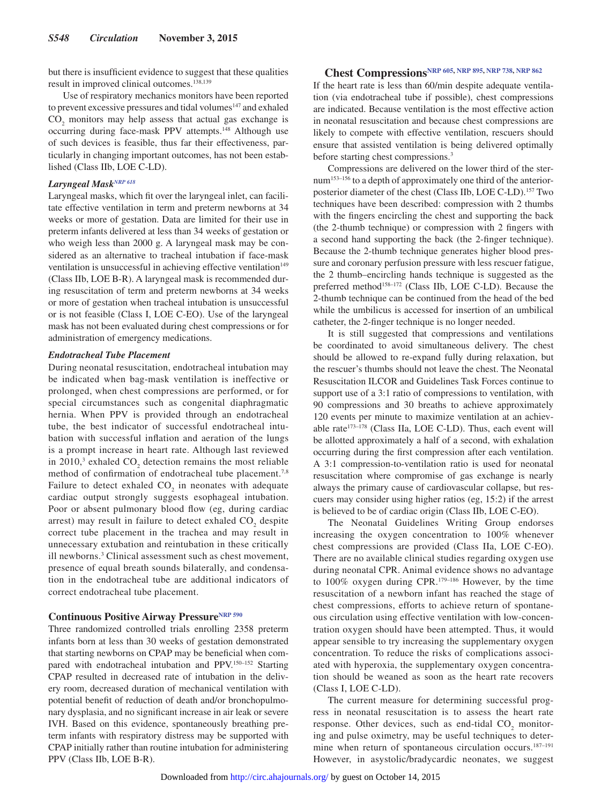but there is insufficient evidence to suggest that these qualities result in improved clinical outcomes.<sup>138,139</sup>

Use of respiratory mechanics monitors have been reported to prevent excessive pressures and tidal volumes<sup>147</sup> and exhaled  $CO<sub>2</sub>$  monitors may help assess that actual gas exchange is occurring during face-mask PPV attempts.148 Although use of such devices is feasible, thus far their effectiveness, particularly in changing important outcomes, has not been established (Class IIb, LOE C-LD).

### *Laryngeal Mas[kNRP 618](https://volunteer.heart.org/apps/pico/Pages/PublicComment.aspx?q=618)*

Laryngeal masks, which fit over the laryngeal inlet, can facilitate effective ventilation in term and preterm newborns at 34 weeks or more of gestation. Data are limited for their use in preterm infants delivered at less than 34 weeks of gestation or who weigh less than 2000 g. A laryngeal mask may be considered as an alternative to tracheal intubation if face-mask ventilation is unsuccessful in achieving effective ventilation<sup>149</sup> (Class IIb, LOE B-R). A laryngeal mask is recommended during resuscitation of term and preterm newborns at 34 weeks or more of gestation when tracheal intubation is unsuccessful or is not feasible (Class I, LOE C-EO). Use of the laryngeal mask has not been evaluated during chest compressions or for administration of emergency medications.

### *Endotracheal Tube Placement*

During neonatal resuscitation, endotracheal intubation may be indicated when bag-mask ventilation is ineffective or prolonged, when chest compressions are performed, or for special circumstances such as congenital diaphragmatic hernia. When PPV is provided through an endotracheal tube, the best indicator of successful endotracheal intubation with successful inflation and aeration of the lungs is a prompt increase in heart rate. Although last reviewed in 2010,<sup>3</sup> exhaled  $CO_2$  detection remains the most reliable method of confirmation of endotracheal tube placement.<sup>7,8</sup> Failure to detect exhaled  $CO<sub>2</sub>$  in neonates with adequate cardiac output strongly suggests esophageal intubation. Poor or absent pulmonary blood flow (eg, during cardiac arrest) may result in failure to detect exhaled  $CO<sub>2</sub>$  despite correct tube placement in the trachea and may result in unnecessary extubation and reintubation in these critically ill newborns.3 Clinical assessment such as chest movement, presence of equal breath sounds bilaterally, and condensation in the endotracheal tube are additional indicators of correct endotracheal tube placement.

# **Continuous Positive Airway Pressure[NRP 590](https://volunteer.heart.org/apps/pico/Pages/PublicComment.aspx?q=590)**

Three randomized controlled trials enrolling 2358 preterm infants born at less than 30 weeks of gestation demonstrated that starting newborns on CPAP may be beneficial when compared with endotracheal intubation and PPV.<sup>150–152</sup> Starting CPAP resulted in decreased rate of intubation in the delivery room, decreased duration of mechanical ventilation with potential benefit of reduction of death and/or bronchopulmonary dysplasia, and no significant increase in air leak or severe IVH. Based on this evidence, spontaneously breathing preterm infants with respiratory distress may be supported with CPAP initially rather than routine intubation for administering PPV (Class IIb, LOE B-R).

# **Chest Compressions[NRP 605](https://volunteer.heart.org/apps/pico/Pages/PublicComment.aspx?q=605), [NRP 895](https://volunteer.heart.org/apps/pico/Pages/PublicComment.aspx?q=895), [NRP 738](https://volunteer.heart.org/apps/pico/Pages/PublicComment.aspx?q=738), [NRP 862](https://volunteer.heart.org/apps/pico/Pages/PublicComment.aspx?q=862)**

If the heart rate is less than 60/min despite adequate ventilation (via endotracheal tube if possible), chest compressions are indicated. Because ventilation is the most effective action in neonatal resuscitation and because chest compressions are likely to compete with effective ventilation, rescuers should ensure that assisted ventilation is being delivered optimally before starting chest compressions.3

Compressions are delivered on the lower third of the sternum153–156 to a depth of approximately one third of the anteriorposterior diameter of the chest (Class IIb, LOE C-LD).157 Two techniques have been described: compression with 2 thumbs with the fingers encircling the chest and supporting the back (the 2-thumb technique) or compression with 2 fingers with a second hand supporting the back (the 2-finger technique). Because the 2-thumb technique generates higher blood pressure and coronary perfusion pressure with less rescuer fatigue, the 2 thumb–encircling hands technique is suggested as the preferred method<sup>158-172</sup> (Class IIb, LOE C-LD). Because the 2-thumb technique can be continued from the head of the bed while the umbilicus is accessed for insertion of an umbilical catheter, the 2-finger technique is no longer needed.

It is still suggested that compressions and ventilations be coordinated to avoid simultaneous delivery. The chest should be allowed to re-expand fully during relaxation, but the rescuer's thumbs should not leave the chest. The Neonatal Resuscitation ILCOR and Guidelines Task Forces continue to support use of a 3:1 ratio of compressions to ventilation, with 90 compressions and 30 breaths to achieve approximately 120 events per minute to maximize ventilation at an achievable rate<sup>173-178</sup> (Class IIa, LOE C-LD). Thus, each event will be allotted approximately a half of a second, with exhalation occurring during the first compression after each ventilation. A 3:1 compression-to-ventilation ratio is used for neonatal resuscitation where compromise of gas exchange is nearly always the primary cause of cardiovascular collapse, but rescuers may consider using higher ratios (eg, 15:2) if the arrest is believed to be of cardiac origin (Class IIb, LOE C-EO).

The Neonatal Guidelines Writing Group endorses increasing the oxygen concentration to 100% whenever chest compressions are provided (Class IIa, LOE C-EO). There are no available clinical studies regarding oxygen use during neonatal CPR. Animal evidence shows no advantage to 100% oxygen during CPR.<sup>179-186</sup> However, by the time resuscitation of a newborn infant has reached the stage of chest compressions, efforts to achieve return of spontaneous circulation using effective ventilation with low-concentration oxygen should have been attempted. Thus, it would appear sensible to try increasing the supplementary oxygen concentration. To reduce the risks of complications associated with hyperoxia, the supplementary oxygen concentration should be weaned as soon as the heart rate recovers (Class I, LOE C-LD).

The current measure for determining successful progress in neonatal resuscitation is to assess the heart rate response. Other devices, such as end-tidal  $CO<sub>2</sub>$  monitoring and pulse oximetry, may be useful techniques to determine when return of spontaneous circulation occurs.<sup>187-191</sup> However, in asystolic/bradycardic neonates, we suggest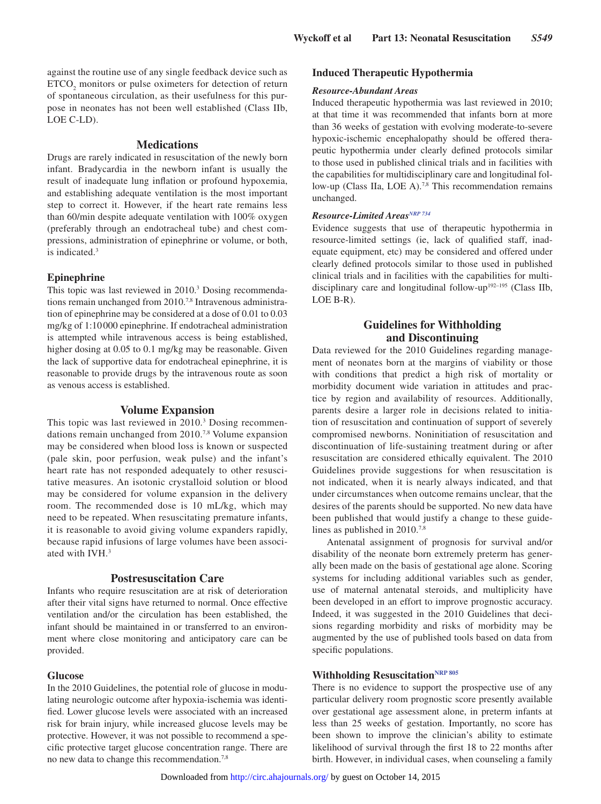against the routine use of any single feedback device such as  $ETCO<sub>2</sub>$  monitors or pulse oximeters for detection of return of spontaneous circulation, as their usefulness for this purpose in neonates has not been well established (Class IIb, LOE C-LD).

### **Medications**

Drugs are rarely indicated in resuscitation of the newly born infant. Bradycardia in the newborn infant is usually the result of inadequate lung inflation or profound hypoxemia, and establishing adequate ventilation is the most important step to correct it. However, if the heart rate remains less than 60/min despite adequate ventilation with 100% oxygen (preferably through an endotracheal tube) and chest compressions, administration of epinephrine or volume, or both, is indicated.<sup>3</sup>

### **Epinephrine**

This topic was last reviewed in 2010.3 Dosing recommendations remain unchanged from 2010.<sup>7,8</sup> Intravenous administration of epinephrine may be considered at a dose of 0.01 to 0.03 mg/kg of 1:10 000 epinephrine. If endotracheal administration is attempted while intravenous access is being established, higher dosing at 0.05 to 0.1 mg/kg may be reasonable. Given the lack of supportive data for endotracheal epinephrine, it is reasonable to provide drugs by the intravenous route as soon as venous access is established.

### **Volume Expansion**

This topic was last reviewed in 2010.<sup>3</sup> Dosing recommendations remain unchanged from 2010.7,8 Volume expansion may be considered when blood loss is known or suspected (pale skin, poor perfusion, weak pulse) and the infant's heart rate has not responded adequately to other resuscitative measures. An isotonic crystalloid solution or blood may be considered for volume expansion in the delivery room. The recommended dose is 10 mL/kg, which may need to be repeated. When resuscitating premature infants, it is reasonable to avoid giving volume expanders rapidly, because rapid infusions of large volumes have been associated with IVH.3

### **Postresuscitation Care**

Infants who require resuscitation are at risk of deterioration after their vital signs have returned to normal. Once effective ventilation and/or the circulation has been established, the infant should be maintained in or transferred to an environment where close monitoring and anticipatory care can be provided.

### **Glucose**

In the 2010 Guidelines, the potential role of glucose in modulating neurologic outcome after hypoxia-ischemia was identified. Lower glucose levels were associated with an increased risk for brain injury, while increased glucose levels may be protective. However, it was not possible to recommend a specific protective target glucose concentration range. There are no new data to change this recommendation.7,8

### **Induced Therapeutic Hypothermia**

### *Resource-Abundant Areas*

Induced therapeutic hypothermia was last reviewed in 2010; at that time it was recommended that infants born at more than 36 weeks of gestation with evolving moderate-to-severe hypoxic-ischemic encephalopathy should be offered therapeutic hypothermia under clearly defined protocols similar to those used in published clinical trials and in facilities with the capabilities for multidisciplinary care and longitudinal follow-up (Class IIa, LOE A).<sup>7,8</sup> This recommendation remains unchanged.

# $$

Evidence suggests that use of therapeutic hypothermia in resource-limited settings (ie, lack of qualified staff, inadequate equipment, etc) may be considered and offered under clearly defined protocols similar to those used in published clinical trials and in facilities with the capabilities for multidisciplinary care and longitudinal follow-up<sup>192-195</sup> (Class IIb, LOE B-R).

## **Guidelines for Withholding and Discontinuing**

Data reviewed for the 2010 Guidelines regarding management of neonates born at the margins of viability or those with conditions that predict a high risk of mortality or morbidity document wide variation in attitudes and practice by region and availability of resources. Additionally, parents desire a larger role in decisions related to initiation of resuscitation and continuation of support of severely compromised newborns. Noninitiation of resuscitation and discontinuation of life-sustaining treatment during or after resuscitation are considered ethically equivalent. The 2010 Guidelines provide suggestions for when resuscitation is not indicated, when it is nearly always indicated, and that under circumstances when outcome remains unclear, that the desires of the parents should be supported. No new data have been published that would justify a change to these guidelines as published in 2010.<sup>7,8</sup>

Antenatal assignment of prognosis for survival and/or disability of the neonate born extremely preterm has generally been made on the basis of gestational age alone. Scoring systems for including additional variables such as gender, use of maternal antenatal steroids, and multiplicity have been developed in an effort to improve prognostic accuracy. Indeed, it was suggested in the 2010 Guidelines that decisions regarding morbidity and risks of morbidity may be augmented by the use of published tools based on data from specific populations.

# **Withholding Resuscitation**NRP 805

There is no evidence to support the prospective use of any particular delivery room prognostic score presently available over gestational age assessment alone, in preterm infants at less than 25 weeks of gestation. Importantly, no score has been shown to improve the clinician's ability to estimate likelihood of survival through the first 18 to 22 months after birth. However, in individual cases, when counseling a family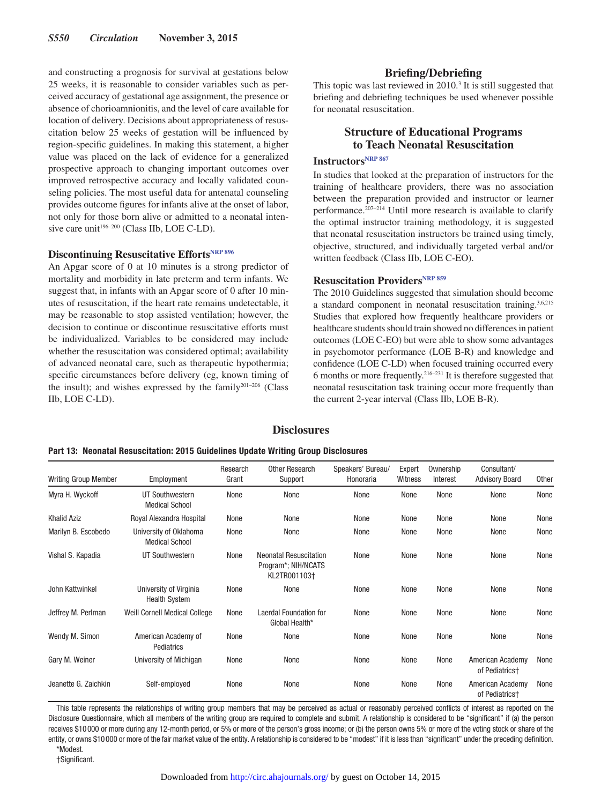and constructing a prognosis for survival at gestations below 25 weeks, it is reasonable to consider variables such as perceived accuracy of gestational age assignment, the presence or absence of chorioamnionitis, and the level of care available for location of delivery. Decisions about appropriateness of resuscitation below 25 weeks of gestation will be influenced by region-specific guidelines. In making this statement, a higher value was placed on the lack of evidence for a generalized prospective approach to changing important outcomes over improved retrospective accuracy and locally validated counseling policies. The most useful data for antenatal counseling provides outcome figures for infants alive at the onset of labor, not only for those born alive or admitted to a neonatal intensive care unit $196-200$  (Class IIb, LOE C-LD).

# **Discontinuing Resuscitative Efforts[NRP 896](https://volunteer.heart.org/apps/pico/Pages/PublicComment.aspx?q=896)**

An Apgar score of 0 at 10 minutes is a strong predictor of mortality and morbidity in late preterm and term infants. We suggest that, in infants with an Apgar score of 0 after 10 minutes of resuscitation, if the heart rate remains undetectable, it may be reasonable to stop assisted ventilation; however, the decision to continue or discontinue resuscitative efforts must be individualized. Variables to be considered may include whether the resuscitation was considered optimal; availability of advanced neonatal care, such as therapeutic hypothermia; specific circumstances before delivery (eg, known timing of the insult); and wishes expressed by the family $201-206$  (Class IIb, LOE C-LD).

## **Briefing/Debriefing**

This topic was last reviewed in 2010.<sup>3</sup> It is still suggested that briefing and debriefing techniques be used whenever possible for neonatal resuscitation.

# **Structure of Educational Programs to Teach Neonatal Resuscitation**

# **Instructors**<sup>NRP 867</sup>

In studies that looked at the preparation of instructors for the training of healthcare providers, there was no association between the preparation provided and instructor or learner performance.207–214 Until more research is available to clarify the optimal instructor training methodology, it is suggested that neonatal resuscitation instructors be trained using timely, objective, structured, and individually targeted verbal and/or written feedback (Class IIb, LOE C-EO).

# **Resuscitation Providers<sup>NRP 859</sup>**

The 2010 Guidelines suggested that simulation should become a standard component in neonatal resuscitation training.3,6,215 Studies that explored how frequently healthcare providers or healthcare students should train showed no differences in patient outcomes (LOE C-EO) but were able to show some advantages in psychomotor performance (LOE B-R) and knowledge and confidence (LOE C-LD) when focused training occurred every 6 months or more frequently.216–231 It is therefore suggested that neonatal resuscitation task training occur more frequently than the current 2-year interval (Class IIb, LOE B-R).

## **Disclosures**

| Part 13: Neonatal Resuscitation: 2015 Guidelines Update Writing Group Disclosures |  |  |
|-----------------------------------------------------------------------------------|--|--|
|-----------------------------------------------------------------------------------|--|--|

| <b>Writing Group Member</b> | Employment                                      | Research<br>Grant | Other Research<br>Support                                            | Speakers' Bureau/<br>Honoraria | Expert<br>Witness | Ownership<br>Interest | Consultant/<br><b>Advisory Board</b>           | Other |
|-----------------------------|-------------------------------------------------|-------------------|----------------------------------------------------------------------|--------------------------------|-------------------|-----------------------|------------------------------------------------|-------|
| Myra H. Wyckoff             | UT Southwestern<br><b>Medical School</b>        | None              | None                                                                 | None                           | None              | None                  | None                                           | None  |
| <b>Khalid Aziz</b>          | Royal Alexandra Hospital                        | None              | None                                                                 | None                           | None              | None                  | None                                           | None  |
| Marilyn B. Escobedo         | University of Oklahoma<br><b>Medical School</b> | None              | None                                                                 | None                           | None              | None                  | None                                           | None  |
| Vishal S. Kapadia           | UT Southwestern                                 | None              | <b>Neonatal Resuscitation</b><br>Program*; NIH/NCATS<br>KL2TR001103+ | None                           | None              | None                  | None                                           | None  |
| John Kattwinkel             | University of Virginia<br><b>Health System</b>  | None              | None                                                                 | None                           | None              | None                  | None                                           | None  |
| Jeffrey M. Perlman          | Weill Cornell Medical College                   | None              | Laerdal Foundation for<br>Global Health*                             | None                           | None              | None                  | None                                           | None  |
| Wendy M. Simon              | American Academy of<br>Pediatrics               | None              | None                                                                 | None                           | None              | None                  | None                                           | None  |
| Gary M. Weiner              | University of Michigan                          | None              | None                                                                 | None                           | None              | None                  | American Academy<br>of Pediatrics†             | None  |
| Jeanette G. Zaichkin        | Self-employed                                   | None              | None                                                                 | None                           | None              | None                  | American Academy<br>of Pediatrics <sup>+</sup> | None  |

This table represents the relationships of writing group members that may be perceived as actual or reasonably perceived conflicts of interest as reported on the Disclosure Questionnaire, which all members of the writing group are required to complete and submit. A relationship is considered to be "significant" if (a) the person receives \$10000 or more during any 12-month period, or 5% or more of the person's gross income; or (b) the person owns 5% or more of the voting stock or share of the entity, or owns \$10000 or more of the fair market value of the entity. A relationship is considered to be "modest" if it is less than "significant" under the preceding definition.

\*Modest.

†Significant.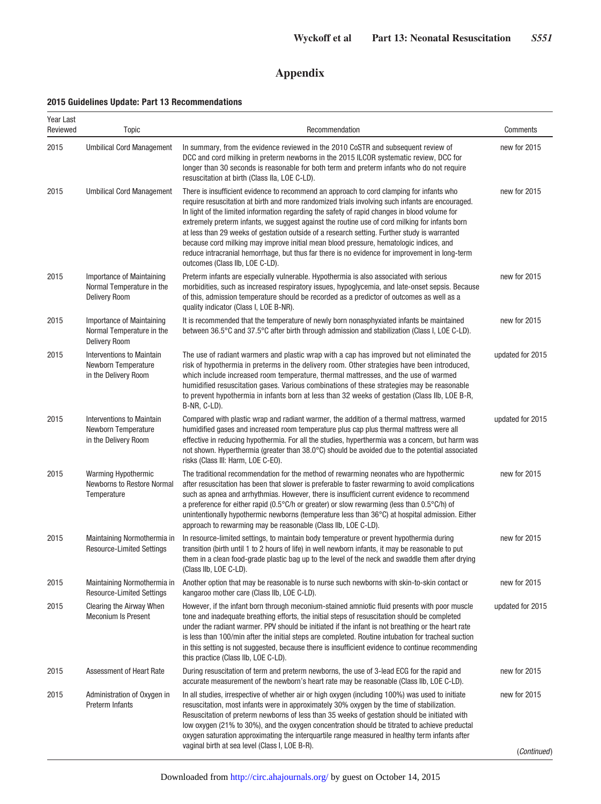# **Appendix**

## **2015 Guidelines Update: Part 13 Recommendations**

| Year Last<br>Reviewed | Topic                                                                           | Recommendation                                                                                                                                                                                                                                                                                                                                                                                                                                                                                                                                                                                                                                                                                                                 | Comments         |
|-----------------------|---------------------------------------------------------------------------------|--------------------------------------------------------------------------------------------------------------------------------------------------------------------------------------------------------------------------------------------------------------------------------------------------------------------------------------------------------------------------------------------------------------------------------------------------------------------------------------------------------------------------------------------------------------------------------------------------------------------------------------------------------------------------------------------------------------------------------|------------------|
| 2015                  | <b>Umbilical Cord Management</b>                                                | In summary, from the evidence reviewed in the 2010 CoSTR and subsequent review of<br>DCC and cord milking in preterm newborns in the 2015 ILCOR systematic review, DCC for<br>longer than 30 seconds is reasonable for both term and preterm infants who do not require<br>resuscitation at birth (Class IIa, LOE C-LD).                                                                                                                                                                                                                                                                                                                                                                                                       | new for 2015     |
| 2015                  | <b>Umbilical Cord Management</b>                                                | There is insufficient evidence to recommend an approach to cord clamping for infants who<br>require resuscitation at birth and more randomized trials involving such infants are encouraged.<br>In light of the limited information regarding the safety of rapid changes in blood volume for<br>extremely preterm infants, we suggest against the routine use of cord milking for infants born<br>at less than 29 weeks of gestation outside of a research setting. Further study is warranted<br>because cord milking may improve initial mean blood pressure, hematologic indices, and<br>reduce intracranial hemorrhage, but thus far there is no evidence for improvement in long-term<br>outcomes (Class IIb, LOE C-LD). | new for 2015     |
| 2015                  | Importance of Maintaining<br>Normal Temperature in the<br><b>Delivery Room</b>  | Preterm infants are especially vulnerable. Hypothermia is also associated with serious<br>morbidities, such as increased respiratory issues, hypoglycemia, and late-onset sepsis. Because<br>of this, admission temperature should be recorded as a predictor of outcomes as well as a<br>quality indicator (Class I, LOE B-NR).                                                                                                                                                                                                                                                                                                                                                                                               | new for 2015     |
| 2015                  | Importance of Maintaining<br>Normal Temperature in the<br><b>Delivery Room</b>  | It is recommended that the temperature of newly born nonasphyxiated infants be maintained<br>between 36.5°C and 37.5°C after birth through admission and stabilization (Class I, LOE C-LD).                                                                                                                                                                                                                                                                                                                                                                                                                                                                                                                                    | new for 2015     |
| 2015                  | <b>Interventions to Maintain</b><br>Newborn Temperature<br>in the Delivery Room | The use of radiant warmers and plastic wrap with a cap has improved but not eliminated the<br>risk of hypothermia in preterms in the delivery room. Other strategies have been introduced,<br>which include increased room temperature, thermal mattresses, and the use of warmed<br>humidified resuscitation gases. Various combinations of these strategies may be reasonable<br>to prevent hypothermia in infants born at less than 32 weeks of gestation (Class IIb, LOE B-R,<br>B-NR, C-LD).                                                                                                                                                                                                                              | updated for 2015 |
| 2015                  | <b>Interventions to Maintain</b><br>Newborn Temperature<br>in the Delivery Room | Compared with plastic wrap and radiant warmer, the addition of a thermal mattress, warmed<br>humidified gases and increased room temperature plus cap plus thermal mattress were all<br>effective in reducing hypothermia. For all the studies, hyperthermia was a concern, but harm was<br>not shown. Hyperthermia (greater than $38.0^{\circ}$ C) should be avoided due to the potential associated<br>risks (Class III: Harm, LOE C-EO).                                                                                                                                                                                                                                                                                    | updated for 2015 |
| 2015                  | <b>Warming Hypothermic</b><br><b>Newborns to Restore Normal</b><br>Temperature  | The traditional recommendation for the method of rewarming neonates who are hypothermic<br>after resuscitation has been that slower is preferable to faster rewarming to avoid complications<br>such as apnea and arrhythmias. However, there is insufficient current evidence to recommend<br>a preference for either rapid (0.5°C/h or greater) or slow rewarming (less than 0.5°C/h) of<br>unintentionally hypothermic newborns (temperature less than 36°C) at hospital admission. Either<br>approach to rewarming may be reasonable (Class IIb, LOE C-LD).                                                                                                                                                                | new for 2015     |
| 2015                  | Maintaining Normothermia in<br><b>Resource-Limited Settings</b>                 | In resource-limited settings, to maintain body temperature or prevent hypothermia during<br>transition (birth until 1 to 2 hours of life) in well newborn infants, it may be reasonable to put<br>them in a clean food-grade plastic bag up to the level of the neck and swaddle them after drying<br>(Class IIb, LOE C-LD).                                                                                                                                                                                                                                                                                                                                                                                                   | new for 2015     |
| 2015                  | Maintaining Normothermia in<br><b>Resource-Limited Settings</b>                 | Another option that may be reasonable is to nurse such newborns with skin-to-skin contact or<br>kangaroo mother care (Class IIb, LOE C-LD).                                                                                                                                                                                                                                                                                                                                                                                                                                                                                                                                                                                    | new for 2015     |
| 2015                  | Clearing the Airway When<br><b>Meconium Is Present</b>                          | However, if the infant born through meconium-stained amniotic fluid presents with poor muscle<br>tone and inadequate breathing efforts, the initial steps of resuscitation should be completed<br>under the radiant warmer. PPV should be initiated if the infant is not breathing or the heart rate<br>is less than 100/min after the initial steps are completed. Routine intubation for tracheal suction<br>in this setting is not suggested, because there is insufficient evidence to continue recommending<br>this practice (Class IIb, LOE C-LD).                                                                                                                                                                       | updated for 2015 |
| 2015                  | Assessment of Heart Rate                                                        | During resuscitation of term and preterm newborns, the use of 3-lead ECG for the rapid and<br>accurate measurement of the newborn's heart rate may be reasonable (Class IIb, LOE C-LD).                                                                                                                                                                                                                                                                                                                                                                                                                                                                                                                                        | new for 2015     |
| 2015                  | Administration of Oxygen in<br>Preterm Infants                                  | In all studies, irrespective of whether air or high oxygen (including 100%) was used to initiate<br>resuscitation, most infants were in approximately 30% oxygen by the time of stabilization.<br>Resuscitation of preterm newborns of less than 35 weeks of gestation should be initiated with<br>low oxygen (21% to 30%), and the oxygen concentration should be titrated to achieve preductal<br>oxygen saturation approximating the interquartile range measured in healthy term infants after<br>vaginal birth at sea level (Class I, LOE B-R).                                                                                                                                                                           | new for 2015     |
|                       |                                                                                 |                                                                                                                                                                                                                                                                                                                                                                                                                                                                                                                                                                                                                                                                                                                                | (Continued)      |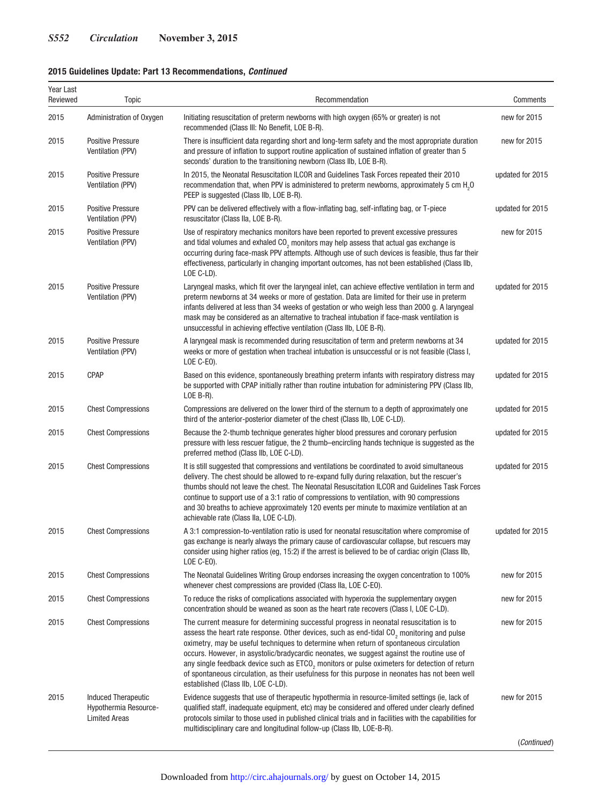# **2015 Guidelines Update: Part 13 Recommendations,** *Continued*

| Year Last<br>Reviewed | Topic                                                                | Recommendation                                                                                                                                                                                                                                                                                                                                                                                                                                                                                                                                                                                                                              | Comments         |
|-----------------------|----------------------------------------------------------------------|---------------------------------------------------------------------------------------------------------------------------------------------------------------------------------------------------------------------------------------------------------------------------------------------------------------------------------------------------------------------------------------------------------------------------------------------------------------------------------------------------------------------------------------------------------------------------------------------------------------------------------------------|------------------|
| 2015                  | Administration of Oxygen                                             | Initiating resuscitation of preterm newborns with high oxygen (65% or greater) is not<br>recommended (Class III: No Benefit, LOE B-R).                                                                                                                                                                                                                                                                                                                                                                                                                                                                                                      | new for 2015     |
| 2015                  | <b>Positive Pressure</b><br>Ventilation (PPV)                        | There is insufficient data regarding short and long-term safety and the most appropriate duration<br>and pressure of inflation to support routine application of sustained inflation of greater than 5<br>seconds' duration to the transitioning newborn (Class IIb, LOE B-R).                                                                                                                                                                                                                                                                                                                                                              | new for 2015     |
| 2015                  | <b>Positive Pressure</b><br>Ventilation (PPV)                        | In 2015, the Neonatal Resuscitation ILCOR and Guidelines Task Forces repeated their 2010<br>recommendation that, when PPV is administered to preterm newborns, approximately 5 cm H <sub>0</sub> O<br>PEEP is suggested (Class IIb, LOE B-R).                                                                                                                                                                                                                                                                                                                                                                                               | updated for 2015 |
| 2015                  | <b>Positive Pressure</b><br>Ventilation (PPV)                        | PPV can be delivered effectively with a flow-inflating bag, self-inflating bag, or T-piece<br>resuscitator (Class IIa, LOE B-R).                                                                                                                                                                                                                                                                                                                                                                                                                                                                                                            | updated for 2015 |
| 2015                  | <b>Positive Pressure</b><br>Ventilation (PPV)                        | Use of respiratory mechanics monitors have been reported to prevent excessive pressures<br>and tidal volumes and exhaled CO <sub>2</sub> monitors may help assess that actual gas exchange is<br>occurring during face-mask PPV attempts. Although use of such devices is feasible, thus far their<br>effectiveness, particularly in changing important outcomes, has not been established (Class IIb,<br>LOE C-LD).                                                                                                                                                                                                                        | new for 2015     |
| 2015                  | <b>Positive Pressure</b><br>Ventilation (PPV)                        | Laryngeal masks, which fit over the laryngeal inlet, can achieve effective ventilation in term and<br>preterm newborns at 34 weeks or more of gestation. Data are limited for their use in preterm<br>infants delivered at less than 34 weeks of gestation or who weigh less than 2000 g. A laryngeal<br>mask may be considered as an alternative to tracheal intubation if face-mask ventilation is<br>unsuccessful in achieving effective ventilation (Class IIb, LOE B-R).                                                                                                                                                               | updated for 2015 |
| 2015                  | <b>Positive Pressure</b><br>Ventilation (PPV)                        | A laryngeal mask is recommended during resuscitation of term and preterm newborns at 34<br>weeks or more of gestation when tracheal intubation is unsuccessful or is not feasible (Class I,<br>LOE C-EO).                                                                                                                                                                                                                                                                                                                                                                                                                                   | updated for 2015 |
| 2015                  | <b>CPAP</b>                                                          | Based on this evidence, spontaneously breathing preterm infants with respiratory distress may<br>be supported with CPAP initially rather than routine intubation for administering PPV (Class IIb,<br>LOE $B-R$ ).                                                                                                                                                                                                                                                                                                                                                                                                                          | updated for 2015 |
| 2015                  | <b>Chest Compressions</b>                                            | Compressions are delivered on the lower third of the sternum to a depth of approximately one<br>third of the anterior-posterior diameter of the chest (Class IIb, LOE C-LD).                                                                                                                                                                                                                                                                                                                                                                                                                                                                | updated for 2015 |
| 2015                  | <b>Chest Compressions</b>                                            | Because the 2-thumb technique generates higher blood pressures and coronary perfusion<br>pressure with less rescuer fatigue, the 2 thumb–encircling hands technique is suggested as the<br>preferred method (Class IIb, LOE C-LD).                                                                                                                                                                                                                                                                                                                                                                                                          | updated for 2015 |
| 2015                  | <b>Chest Compressions</b>                                            | It is still suggested that compressions and ventilations be coordinated to avoid simultaneous<br>delivery. The chest should be allowed to re-expand fully during relaxation, but the rescuer's<br>thumbs should not leave the chest. The Neonatal Resuscitation ILCOR and Guidelines Task Forces<br>continue to support use of a 3:1 ratio of compressions to ventilation, with 90 compressions<br>and 30 breaths to achieve approximately 120 events per minute to maximize ventilation at an<br>achievable rate (Class IIa, LOE C-LD).                                                                                                    | updated for 2015 |
| 2015                  | <b>Chest Compressions</b>                                            | A 3:1 compression-to-ventilation ratio is used for neonatal resuscitation where compromise of<br>gas exchange is nearly always the primary cause of cardiovascular collapse, but rescuers may<br>consider using higher ratios (eg. 15:2) if the arrest is believed to be of cardiac origin (Class IIb,<br>LOE C-EO).                                                                                                                                                                                                                                                                                                                        | updated for 2015 |
| 2015                  | <b>Chest Compressions</b>                                            | The Neonatal Guidelines Writing Group endorses increasing the oxygen concentration to 100%<br>whenever chest compressions are provided (Class IIa, LOE C-EO).                                                                                                                                                                                                                                                                                                                                                                                                                                                                               | new for 2015     |
| 2015                  | <b>Chest Compressions</b>                                            | To reduce the risks of complications associated with hyperoxia the supplementary oxygen<br>concentration should be weaned as soon as the heart rate recovers (Class I, LOE C-LD).                                                                                                                                                                                                                                                                                                                                                                                                                                                           | new for 2015     |
| 2015                  | <b>Chest Compressions</b>                                            | The current measure for determining successful progress in neonatal resuscitation is to<br>assess the heart rate response. Other devices, such as end-tidal CO <sub>2</sub> monitoring and pulse<br>oximetry, may be useful techniques to determine when return of spontaneous circulation<br>occurs. However, in asystolic/bradycardic neonates, we suggest against the routine use of<br>any single feedback device such as ETCO <sub>2</sub> monitors or pulse oximeters for detection of return<br>of spontaneous circulation, as their usefulness for this purpose in neonates has not been well<br>established (Class IIb, LOE C-LD). | new for 2015     |
| 2015                  | Induced Therapeutic<br>Hypothermia Resource-<br><b>Limited Areas</b> | Evidence suggests that use of therapeutic hypothermia in resource-limited settings (ie, lack of<br>qualified staff, inadequate equipment, etc) may be considered and offered under clearly defined<br>protocols similar to those used in published clinical trials and in facilities with the capabilities for<br>multidisciplinary care and longitudinal follow-up (Class IIb, LOE-B-R).                                                                                                                                                                                                                                                   | new for 2015     |
|                       |                                                                      |                                                                                                                                                                                                                                                                                                                                                                                                                                                                                                                                                                                                                                             | (Continued)      |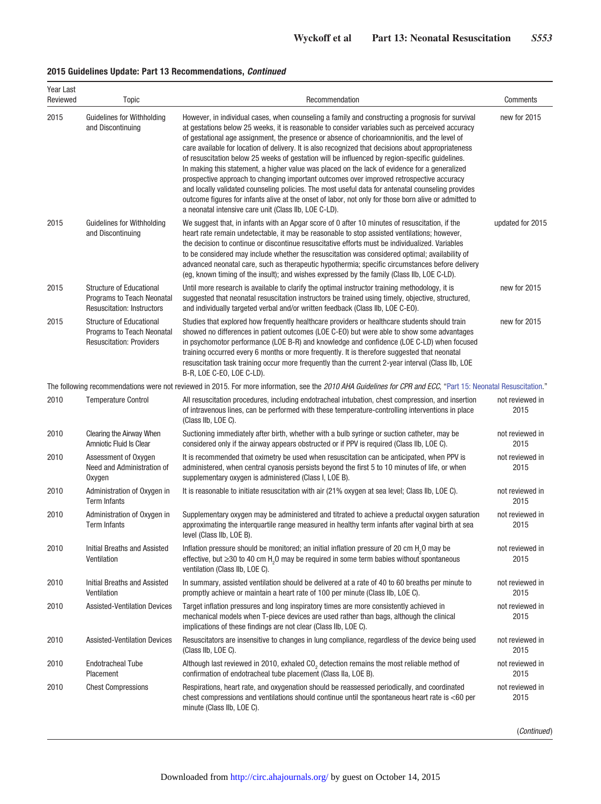## **2015 Guidelines Update: Part 13 Recommendations,** *Continued*

| Year Last<br>Reviewed | <b>Topic</b>                                                                                       | Recommendation                                                                                                                                                                                                                                                                                                                                                                                                                                                                                                                                                                                                                                                                                                                                                                                                                                                                                                                                                                   | Comments                |
|-----------------------|----------------------------------------------------------------------------------------------------|----------------------------------------------------------------------------------------------------------------------------------------------------------------------------------------------------------------------------------------------------------------------------------------------------------------------------------------------------------------------------------------------------------------------------------------------------------------------------------------------------------------------------------------------------------------------------------------------------------------------------------------------------------------------------------------------------------------------------------------------------------------------------------------------------------------------------------------------------------------------------------------------------------------------------------------------------------------------------------|-------------------------|
| 2015                  | Guidelines for Withholding<br>and Discontinuing                                                    | However, in individual cases, when counseling a family and constructing a prognosis for survival<br>at gestations below 25 weeks, it is reasonable to consider variables such as perceived accuracy<br>of gestational age assignment, the presence or absence of chorioamnionitis, and the level of<br>care available for location of delivery. It is also recognized that decisions about appropriateness<br>of resuscitation below 25 weeks of gestation will be influenced by region-specific quidelines.<br>In making this statement, a higher value was placed on the lack of evidence for a generalized<br>prospective approach to changing important outcomes over improved retrospective accuracy<br>and locally validated counseling policies. The most useful data for antenatal counseling provides<br>outcome figures for infants alive at the onset of labor, not only for those born alive or admitted to<br>a neonatal intensive care unit (Class IIb, LOE C-LD). | new for 2015            |
| 2015                  | Guidelines for Withholding<br>and Discontinuing                                                    | We suggest that, in infants with an Apgar score of 0 after 10 minutes of resuscitation, if the<br>heart rate remain undetectable, it may be reasonable to stop assisted ventilations; however,<br>the decision to continue or discontinue resuscitative efforts must be individualized. Variables<br>to be considered may include whether the resuscitation was considered optimal; availability of<br>advanced neonatal care, such as therapeutic hypothermia; specific circumstances before delivery<br>(eg, known timing of the insult); and wishes expressed by the family (Class IIb, LOE C-LD).                                                                                                                                                                                                                                                                                                                                                                            | updated for 2015        |
| 2015                  | <b>Structure of Educational</b><br>Programs to Teach Neonatal<br><b>Resuscitation: Instructors</b> | Until more research is available to clarify the optimal instructor training methodology, it is<br>suggested that neonatal resuscitation instructors be trained using timely, objective, structured,<br>and individually targeted verbal and/or written feedback (Class IIb, LOE C-EO).                                                                                                                                                                                                                                                                                                                                                                                                                                                                                                                                                                                                                                                                                           | new for 2015            |
| 2015                  | Structure of Educational<br><b>Programs to Teach Neonatal</b><br><b>Resuscitation: Providers</b>   | Studies that explored how frequently healthcare providers or healthcare students should train<br>showed no differences in patient outcomes (LOE C-EO) but were able to show some advantages<br>in psychomotor performance (LOE B-R) and knowledge and confidence (LOE C-LD) when focused<br>training occurred every 6 months or more frequently. It is therefore suggested that neonatal<br>resuscitation task training occur more frequently than the current 2-year interval (Class IIb, LOE<br>B-R, LOE C-EO, LOE C-LD).                                                                                                                                                                                                                                                                                                                                                                                                                                                      | new for 2015            |
|                       |                                                                                                    | The following recommendations were not reviewed in 2015. For more information, see the 2010 AHA Guidelines for CPR and ECC, "Part 15: Neonatal Resuscitation."                                                                                                                                                                                                                                                                                                                                                                                                                                                                                                                                                                                                                                                                                                                                                                                                                   |                         |
| 2010                  | <b>Temperature Control</b>                                                                         | All resuscitation procedures, including endotracheal intubation, chest compression, and insertion<br>of intravenous lines, can be performed with these temperature-controlling interventions in place<br>(Class IIb, LOE C).                                                                                                                                                                                                                                                                                                                                                                                                                                                                                                                                                                                                                                                                                                                                                     | not reviewed in<br>2015 |
| 2010                  | Clearing the Airway When<br>Amniotic Fluid Is Clear                                                | Suctioning immediately after birth, whether with a bulb syringe or suction catheter, may be<br>considered only if the airway appears obstructed or if PPV is required (Class IIb, LOE C).                                                                                                                                                                                                                                                                                                                                                                                                                                                                                                                                                                                                                                                                                                                                                                                        | not reviewed in<br>2015 |
| 2010                  | Assessment of Oxygen<br>Need and Administration of<br>Oxygen                                       | It is recommended that oximetry be used when resuscitation can be anticipated, when PPV is<br>administered, when central cyanosis persists beyond the first 5 to 10 minutes of life, or when<br>supplementary oxygen is administered (Class I, LOE B).                                                                                                                                                                                                                                                                                                                                                                                                                                                                                                                                                                                                                                                                                                                           | not reviewed in<br>2015 |
| 2010                  | Administration of Oxygen in<br>Term Infants                                                        | It is reasonable to initiate resuscitation with air (21% oxygen at sea level; Class IIb, LOE C).                                                                                                                                                                                                                                                                                                                                                                                                                                                                                                                                                                                                                                                                                                                                                                                                                                                                                 | not reviewed in<br>2015 |
| 2010                  | Administration of Oxygen in<br><b>Term Infants</b>                                                 | Supplementary oxygen may be administered and titrated to achieve a preductal oxygen saturation<br>approximating the interquartile range measured in healthy term infants after vaginal birth at sea<br>level (Class IIb, LOE B).                                                                                                                                                                                                                                                                                                                                                                                                                                                                                                                                                                                                                                                                                                                                                 | not reviewed in<br>2015 |
| 2010                  | Initial Breaths and Assisted<br>Ventilation                                                        | Inflation pressure should be monitored; an initial inflation pressure of 20 cm H <sub>2</sub> O may be<br>effective, but $\geq$ 30 to 40 cm H <sub>2</sub> 0 may be required in some term babies without spontaneous<br>ventilation (Class IIb, LOE C).                                                                                                                                                                                                                                                                                                                                                                                                                                                                                                                                                                                                                                                                                                                          | not reviewed in<br>2015 |
| 2010                  | Initial Breaths and Assisted<br>Ventilation                                                        | In summary, assisted ventilation should be delivered at a rate of 40 to 60 breaths per minute to<br>promptly achieve or maintain a heart rate of 100 per minute (Class IIb, LOE C).                                                                                                                                                                                                                                                                                                                                                                                                                                                                                                                                                                                                                                                                                                                                                                                              | not reviewed in<br>2015 |
| 2010                  | <b>Assisted-Ventilation Devices</b>                                                                | Target inflation pressures and long inspiratory times are more consistently achieved in<br>mechanical models when T-piece devices are used rather than bags, although the clinical<br>implications of these findings are not clear (Class IIb, LOE C).                                                                                                                                                                                                                                                                                                                                                                                                                                                                                                                                                                                                                                                                                                                           | not reviewed in<br>2015 |
| 2010                  | <b>Assisted-Ventilation Devices</b>                                                                | Resuscitators are insensitive to changes in lung compliance, regardless of the device being used<br>(Class IIb, LOE C).                                                                                                                                                                                                                                                                                                                                                                                                                                                                                                                                                                                                                                                                                                                                                                                                                                                          | not reviewed in<br>2015 |
| 2010                  | <b>Endotracheal Tube</b><br>Placement                                                              | Although last reviewed in 2010, exhaled CO <sub>2</sub> detection remains the most reliable method of<br>confirmation of endotracheal tube placement (Class IIa, LOE B).                                                                                                                                                                                                                                                                                                                                                                                                                                                                                                                                                                                                                                                                                                                                                                                                         | not reviewed in<br>2015 |
| 2010                  | <b>Chest Compressions</b>                                                                          | Respirations, heart rate, and oxygenation should be reassessed periodically, and coordinated<br>chest compressions and ventilations should continue until the spontaneous heart rate is $<$ 60 per<br>minute (Class IIb, LOE C).                                                                                                                                                                                                                                                                                                                                                                                                                                                                                                                                                                                                                                                                                                                                                 | not reviewed in<br>2015 |

(Continued)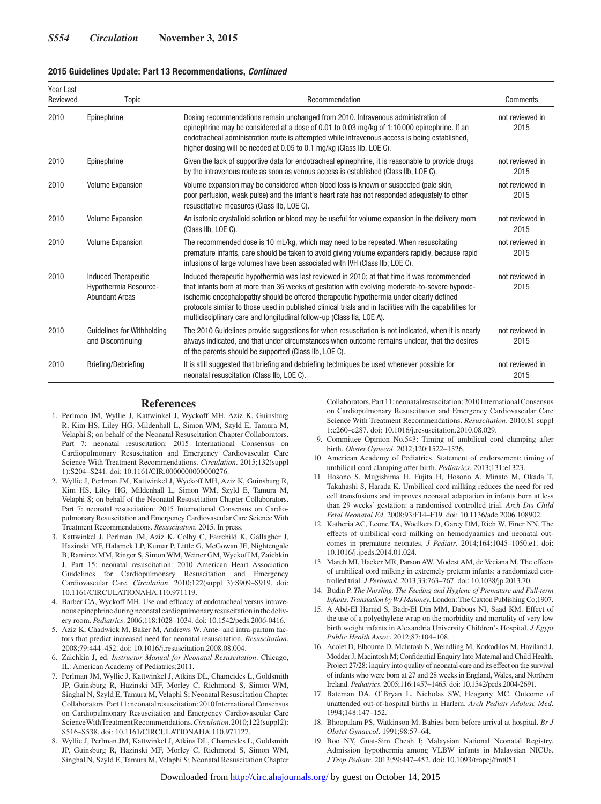#### **2015 Guidelines Update: Part 13 Recommendations,** *Continued*

| Year Last<br>Reviewed | Topic                                                                        | Recommendation                                                                                                                                                                                                                                                                                                                                                                                                                                                               | Comments                |
|-----------------------|------------------------------------------------------------------------------|------------------------------------------------------------------------------------------------------------------------------------------------------------------------------------------------------------------------------------------------------------------------------------------------------------------------------------------------------------------------------------------------------------------------------------------------------------------------------|-------------------------|
| 2010                  | Epinephrine                                                                  | Dosing recommendations remain unchanged from 2010. Intravenous administration of<br>epinephrine may be considered at a dose of 0.01 to 0.03 mg/kg of 1:10 000 epinephrine. If an<br>endotracheal administration route is attempted while intravenous access is being established,<br>higher dosing will be needed at 0.05 to 0.1 mg/kg (Class IIb, LOE C).                                                                                                                   | not reviewed in<br>2015 |
| 2010                  | Epinephrine                                                                  | Given the lack of supportive data for endotracheal epinephrine, it is reasonable to provide drugs<br>by the intravenous route as soon as venous access is established (Class IIb, LOE C).                                                                                                                                                                                                                                                                                    | not reviewed in<br>2015 |
| 2010                  | <b>Volume Expansion</b>                                                      | Volume expansion may be considered when blood loss is known or suspected (pale skin,<br>poor perfusion, weak pulse) and the infant's heart rate has not responded adequately to other<br>resuscitative measures (Class IIb, LOE C).                                                                                                                                                                                                                                          | not reviewed in<br>2015 |
| 2010                  | <b>Volume Expansion</b>                                                      | An isotonic crystalloid solution or blood may be useful for volume expansion in the delivery room<br>(Class IIb. LOE C).                                                                                                                                                                                                                                                                                                                                                     | not reviewed in<br>2015 |
| 2010                  | <b>Volume Expansion</b>                                                      | The recommended dose is 10 mL/kg, which may need to be repeated. When resuscitating<br>premature infants, care should be taken to avoid giving volume expanders rapidly, because rapid<br>infusions of large volumes have been associated with IVH (Class IIb, LOE C).                                                                                                                                                                                                       | not reviewed in<br>2015 |
| 2010                  | <b>Induced Therapeutic</b><br>Hypothermia Resource-<br><b>Abundant Areas</b> | Induced therapeutic hypothermia was last reviewed in 2010; at that time it was recommended<br>that infants born at more than 36 weeks of gestation with evolving moderate-to-severe hypoxic-<br>ischemic encephalopathy should be offered therapeutic hypothermia under clearly defined<br>protocols similar to those used in published clinical trials and in facilities with the capabilities for<br>multidisciplinary care and longitudinal follow-up (Class IIa, LOE A). | not reviewed in<br>2015 |
| 2010                  | Guidelines for Withholding<br>and Discontinuing                              | The 2010 Guidelines provide suggestions for when resuscitation is not indicated, when it is nearly<br>always indicated, and that under circumstances when outcome remains unclear, that the desires<br>of the parents should be supported (Class IIb, LOE C).                                                                                                                                                                                                                | not reviewed in<br>2015 |
| 2010                  | Briefing/Debriefing                                                          | It is still suggested that briefing and debriefing techniques be used whenever possible for<br>neonatal resuscitation (Class IIb, LOE C).                                                                                                                                                                                                                                                                                                                                    | not reviewed in<br>2015 |

#### **References**

- 1. Perlman JM, Wyllie J, Kattwinkel J, Wyckoff MH, Aziz K, Guinsburg R, Kim HS, Liley HG, Mildenhall L, Simon WM, Szyld E, Tamura M, Velaphi S; on behalf of the Neonatal Resuscitation Chapter Collaborators. Part 7: neonatal resuscitation: 2015 International Consensus on Cardiopulmonary Resuscitation and Emergency Cardiovascular Care Science With Treatment Recommendations. *Circulation*. 2015;132(suppl 1):S204–S241. doi: 10.1161/CIR.0000000000000276.
- 2. Wyllie J, Perlman JM, Kattwinkel J, Wyckoff MH, Aziz K, Guinsburg R, Kim HS, Liley HG, Mildenhall L, Simon WM, Szyld E, Tamura M, Velaphi S; on behalf of the Neonatal Resuscitation Chapter Collaborators. Part 7: neonatal resuscitation: 2015 International Consensus on Cardiopulmonary Resuscitation and Emergency Cardiovascular Care Science With Treatment Recommendations. *Resuscitation*. 2015. In press.
- 3. Kattwinkel J, Perlman JM, Aziz K, Colby C, Fairchild K, Gallagher J, Hazinski MF, Halamek LP, Kumar P, Little G, McGowan JE, Nightengale B, Ramirez MM, Ringer S, Simon WM, Weiner GM, Wyckoff M, Zaichkin J. Part 15: neonatal resuscitation: 2010 American Heart Association Guidelines for Cardiopulmonary Resuscitation and Emergency Cardiovascular Care. *Circulation*. 2010;122(suppl 3):S909–S919. doi: 10.1161/CIRCULATIONAHA.110.971119.
- 4. Barber CA, Wyckoff MH. Use and efficacy of endotracheal versus intravenous epinephrine during neonatal cardiopulmonary resuscitation in the delivery room. *Pediatrics*. 2006;118:1028–1034. doi: 10.1542/peds.2006-0416.
- 5. Aziz K, Chadwick M, Baker M, Andrews W. Ante- and intra-partum factors that predict increased need for neonatal resuscitation. *Resuscitation*. 2008;79:444–452. doi: 10.1016/j.resuscitation.2008.08.004.
- 6. Zaichkin J, ed. *Instructor Manual for Neonatal Resuscitation*. Chicago, IL: American Academy of Pediatrics;2011.
- 7. Perlman JM, Wyllie J, Kattwinkel J, Atkins DL, Chameides L, Goldsmith JP, Guinsburg R, Hazinski MF, Morley C, Richmond S, Simon WM, Singhal N, Szyld E, Tamura M, Velaphi S; Neonatal Resuscitation Chapter Collaborators. Part 11: neonatal resuscitation: 2010 International Consensus on Cardiopulmonary Resuscitation and Emergency Cardiovascular Care Science With Treatment Recommendations. *Circulation*. 2010;122(suppl2): S516–S538. doi: 10.1161/CIRCULATIONAHA.110.971127.
- 8. Wyllie J, Perlman JM, Kattwinkel J, Atkins DL, Chameides L, Goldsmith JP, Guinsburg R, Hazinski MF, Morley C, Richmond S, Simon WM, Singhal N, Szyld E, Tamura M, Velaphi S; Neonatal Resuscitation Chapter

Collaborators. Part 11: neonatal resuscitation: 2010 International Consensus on Cardiopulmonary Resuscitation and Emergency Cardiovascular Care Science With Treatment Recommendations. *Resuscitation*. 2010;81 suppl 1:e260–e287. doi: 10.1016/j.resuscitation.2010.08.029.

- Committee Opinion No.543: Timing of umbilical cord clamping after birth. *Obstet Gynecol*. 2012;120:1522–1526.
- 10. American Academy of Pediatrics. Statement of endorsement: timing of umbilical cord clamping after birth. *Pediatrics*. 2013;131:e1323.
- 11. Hosono S, Mugishima H, Fujita H, Hosono A, Minato M, Okada T, Takahashi S, Harada K. Umbilical cord milking reduces the need for red cell transfusions and improves neonatal adaptation in infants born at less than 29 weeks' gestation: a randomised controlled trial. *Arch Dis Child Fetal Neonatal Ed*. 2008;93:F14–F19. doi: 10.1136/adc.2006.108902.
- 12. Katheria AC, Leone TA, Woelkers D, Garey DM, Rich W, Finer NN. The effects of umbilical cord milking on hemodynamics and neonatal outcomes in premature neonates. *J Pediatr*. 2014;164:1045–1050.e1. doi: 10.1016/j.jpeds.2014.01.024.
- 13. March MI, Hacker MR, Parson AW, Modest AM, de Veciana M. The effects of umbilical cord milking in extremely preterm infants: a randomized controlled trial. *J Perinatol*. 2013;33:763–767. doi: 10.1038/jp.2013.70.
- 14. Budin P. *The Nursling. The Feeding and Hygiene of Premature and Full-term Infants. Translation by WJ Maloney*. London: The Caxton Publishing Co;1907.
- 15. A Abd-El Hamid S, Badr-El Din MM, Dabous NI, Saad KM. Effect of the use of a polyethylene wrap on the morbidity and mortality of very low birth weight infants in Alexandria University Children's Hospital. *J Egypt Public Health Assoc*. 2012;87:104–108.
- 16. Acolet D, Elbourne D, McIntosh N, Weindling M, Korkodilos M, Haviland J, Modder J, Macintosh M; Confidential Enquiry Into Maternal and Child Health. Project 27/28: inquiry into quality of neonatal care and its effect on the survival of infants who were born at 27 and 28 weeks in England, Wales, and Northern Ireland. *Pediatrics*. 2005;116:1457–1465. doi: 10.1542/peds.2004-2691.
- 17. Bateman DA, O'Bryan L, Nicholas SW, Heagarty MC. Outcome of unattended out-of-hospital births in Harlem. *Arch Pediatr Adolesc Med*. 1994;148:147–152.
- 18. Bhoopalam PS, Watkinson M. Babies born before arrival at hospital. *Br J Obstet Gynaecol*. 1991;98:57–64.
- 19. Boo NY, Guat-Sim Cheah I; Malaysian National Neonatal Registry. Admission hypothermia among VLBW infants in Malaysian NICUs. *J Trop Pediatr*. 2013;59:447–452. doi: 10.1093/tropej/fmt051.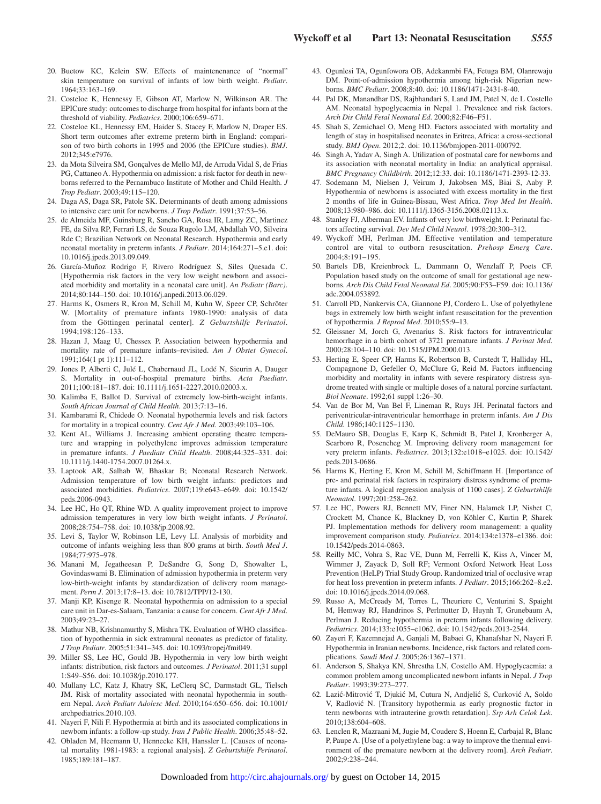- 20. Buetow KC, Kelein SW. Effects of maintenenance of "normal" skin temperature on survival of infants of low birth weight. *Pediatr*. 1964;33:163–169.
- 21. Costeloe K, Hennessy E, Gibson AT, Marlow N, Wilkinson AR. The EPICure study: outcomes to discharge from hospital for infants born at the threshold of viability. *Pediatrics*. 2000;106:659–671.
- 22. Costeloe KL, Hennessy EM, Haider S, Stacey F, Marlow N, Draper ES. Short term outcomes after extreme preterm birth in England: comparison of two birth cohorts in 1995 and 2006 (the EPICure studies). *BMJ*. 2012;345:e7976.
- 23. da Mota Silveira SM, Gonçalves de Mello MJ, de Arruda Vidal S, de Frias PG, Cattaneo A. Hypothermia on admission: a risk factor for death in newborns referred to the Pernambuco Institute of Mother and Child Health. *J Trop Pediatr*. 2003;49:115–120.
- 24. Daga AS, Daga SR, Patole SK. Determinants of death among admissions to intensive care unit for newborns. *J Trop Pediatr*. 1991;37:53–56.
- 25. de Almeida MF, Guinsburg R, Sancho GA, Rosa IR, Lamy ZC, Martinez FE, da Silva RP, Ferrari LS, de Souza Rugolo LM, Abdallah VO, Silveira Rde C; Brazilian Network on Neonatal Research. Hypothermia and early neonatal mortality in preterm infants. *J Pediatr*. 2014;164:271–5.e1. doi: 10.1016/j.jpeds.2013.09.049.
- 26. García-Muñoz Rodrigo F, Rivero Rodríguez S, Siles Quesada C. [Hypothermia risk factors in the very low weight newborn and associated morbidity and mortality in a neonatal care unit]. *An Pediatr (Barc)*. 2014;80:144–150. doi: 10.1016/j.anpedi.2013.06.029.
- 27. Harms K, Osmers R, Kron M, Schill M, Kuhn W, Speer CP, Schröter W. [Mortality of premature infants 1980-1990: analysis of data from the Göttingen perinatal center]. *Z Geburtshilfe Perinatol*. 1994;198:126–133.
- 28. Hazan J, Maag U, Chessex P. Association between hypothermia and mortality rate of premature infants–revisited. *Am J Obstet Gynecol*. 1991;164(1 pt 1):111–112.
- 29. Jones P, Alberti C, Julé L, Chabernaud JL, Lodé N, Sieurin A, Dauger S. Mortality in out-of-hospital premature births. *Acta Paediatr*. 2011;100:181–187. doi: 10.1111/j.1651-2227.2010.02003.x.
- 30. Kalimba E, Ballot D. Survival of extremely low-birth-weight infants. *South African Journal of Child Health*. 2013;7:13–16.
- 31. Kambarami R, Chidede O. Neonatal hypothermia levels and risk factors for mortality in a tropical country. *Cent Afr J Med*. 2003;49:103–106.
- 32. Kent AL, Williams J. Increasing ambient operating theatre temperature and wrapping in polyethylene improves admission temperature in premature infants. *J Paediatr Child Health*. 2008;44:325–331. doi: 10.1111/j.1440-1754.2007.01264.x.
- 33. Laptook AR, Salhab W, Bhaskar B; Neonatal Research Network. Admission temperature of low birth weight infants: predictors and associated morbidities. *Pediatrics*. 2007;119:e643–e649. doi: 10.1542/ peds.2006-0943.
- 34. Lee HC, Ho QT, Rhine WD. A quality improvement project to improve admission temperatures in very low birth weight infants. *J Perinatol*. 2008;28:754–758. doi: 10.1038/jp.2008.92.
- 35. Levi S, Taylor W, Robinson LE, Levy LI. Analysis of morbidity and outcome of infants weighing less than 800 grams at birth. *South Med J*. 1984;77:975–978.
- 36. Manani M, Jegatheesan P, DeSandre G, Song D, Showalter L, Govindaswami B. Elimination of admission hypothermia in preterm very low-birth-weight infants by standardization of delivery room management. *Perm J*. 2013;17:8–13. doi: 10.7812/TPP/12-130.
- 37. Manji KP, Kisenge R. Neonatal hypothermia on admission to a special care unit in Dar-es-Salaam, Tanzania: a cause for concern. *Cent Afr J Med*. 2003;49:23–27.
- 38. Mathur NB, Krishnamurthy S, Mishra TK. Evaluation of WHO classification of hypothermia in sick extramural neonates as predictor of fatality. *J Trop Pediatr*. 2005;51:341–345. doi: 10.1093/tropej/fmi049.
- 39. Miller SS, Lee HC, Gould JB. Hypothermia in very low birth weight infants: distribution, risk factors and outcomes. *J Perinatol*. 2011;31 suppl 1:S49–S56. doi: 10.1038/jp.2010.177.
- 40. Mullany LC, Katz J, Khatry SK, LeClerq SC, Darmstadt GL, Tielsch JM. Risk of mortality associated with neonatal hypothermia in southern Nepal. *Arch Pediatr Adolesc Med*. 2010;164:650–656. doi: 10.1001/ archpediatrics.2010.103.
- 41. Nayeri F, Nili F. Hypothermia at birth and its associated complications in newborn infants: a follow-up study. *Iran J Public Health*. 2006;35:48–52.
- 42. Obladen M, Heemann U, Hennecke KH, Hanssler L. [Causes of neonatal mortality 1981-1983: a regional analysis]. *Z Geburtshilfe Perinatol*. 1985;189:181–187.
- 43. Ogunlesi TA, Ogunfowora OB, Adekanmbi FA, Fetuga BM, Olanrewaju DM. Point-of-admission hypothermia among high-risk Nigerian newborns. *BMC Pediatr*. 2008;8:40. doi: 10.1186/1471-2431-8-40.
- 44. Pal DK, Manandhar DS, Rajbhandari S, Land JM, Patel N, de L Costello AM. Neonatal hypoglycaemia in Nepal 1. Prevalence and risk factors. *Arch Dis Child Fetal Neonatal Ed*. 2000;82:F46–F51.
- 45. Shah S, Zemichael O, Meng HD. Factors associated with mortality and length of stay in hospitalised neonates in Eritrea, Africa: a cross-sectional study. *BMJ Open*. 2012;2. doi: 10.1136/bmjopen-2011-000792.
- 46. Singh A, Yadav A, Singh A. Utilization of postnatal care for newborns and its association with neonatal mortality in India: an analytical appraisal. *BMC Pregnancy Childbirth*. 2012;12:33. doi: 10.1186/1471-2393-12-33.
- 47. Sodemann M, Nielsen J, Veirum J, Jakobsen MS, Biai S, Aaby P. Hypothermia of newborns is associated with excess mortality in the first 2 months of life in Guinea-Bissau, West Africa. *Trop Med Int Health*. 2008;13:980–986. doi: 10.1111/j.1365-3156.2008.02113.x.
- 48. Stanley FJ, Alberman EV. Infants of very low birthweight. I: Perinatal factors affecting survival. *Dev Med Child Neurol*. 1978;20:300–312.
- 49. Wyckoff MH, Perlman JM. Effective ventilation and temperature control are vital to outborn resuscitation. *Prehosp Emerg Care*. 2004;8:191–195.
- 50. Bartels DB, Kreienbrock L, Dammann O, Wenzlaff P, Poets CF. Population based study on the outcome of small for gestational age newborns. *Arch Dis Child Fetal Neonatal Ed*. 2005;90:F53–F59. doi: 10.1136/ adc.2004.053892.
- 51. Carroll PD, Nankervis CA, Giannone PJ, Cordero L. Use of polyethylene bags in extremely low birth weight infant resuscitation for the prevention of hypothermia. *J Reprod Med*. 2010;55:9–13.
- 52. Gleissner M, Jorch G, Avenarius S. Risk factors for intraventricular hemorrhage in a birth cohort of 3721 premature infants. *J Perinat Med*. 2000;28:104–110. doi: 10.1515/JPM.2000.013.
- 53. Herting E, Speer CP, Harms K, Robertson B, Curstedt T, Halliday HL, Compagnone D, Gefeller O, McClure G, Reid M. Factors influencing morbidity and mortality in infants with severe respiratory distress syndrome treated with single or multiple doses of a natural porcine surfactant. *Biol Neonate*. 1992;61 suppl 1:26–30.
- 54. Van de Bor M, Van Bel F, Lineman R, Ruys JH. Perinatal factors and periventricular-intraventricular hemorrhage in preterm infants. *Am J Dis Child*. 1986;140:1125–1130.
- 55. DeMauro SB, Douglas E, Karp K, Schmidt B, Patel J, Kronberger A, Scarboro R, Posencheg M. Improving delivery room management for very preterm infants. *Pediatrics*. 2013;132:e1018–e1025. doi: 10.1542/ peds.2013-0686.
- 56. Harms K, Herting E, Kron M, Schill M, Schiffmann H. [Importance of pre- and perinatal risk factors in respiratory distress syndrome of premature infants. A logical regression analysis of 1100 cases]. *Z Geburtshilfe Neonatol*. 1997;201:258–262.
- 57. Lee HC, Powers RJ, Bennett MV, Finer NN, Halamek LP, Nisbet C, Crockett M, Chance K, Blackney D, von Köhler C, Kurtin P, Sharek PJ. Implementation methods for delivery room management: a quality improvement comparison study. *Pediatrics*. 2014;134:e1378–e1386. doi: 10.1542/peds.2014-0863.
- 58. Reilly MC, Vohra S, Rac VE, Dunn M, Ferrelli K, Kiss A, Vincer M, Wimmer J, Zayack D, Soll RF; Vermont Oxford Network Heat Loss Prevention (HeLP) Trial Study Group. Randomized trial of occlusive wrap for heat loss prevention in preterm infants. *J Pediatr*. 2015;166:262–8.e2. doi: 10.1016/j.jpeds.2014.09.068.
- 59. Russo A, McCready M, Torres L, Theuriere C, Venturini S, Spaight M, Hemway RJ, Handrinos S, Perlmutter D, Huynh T, Grunebaum A, Perlman J. Reducing hypothermia in preterm infants following delivery. *Pediatrics*. 2014;133:e1055–e1062. doi: 10.1542/peds.2013-2544.
- 60. Zayeri F, Kazemnejad A, Ganjali M, Babaei G, Khanafshar N, Nayeri F. Hypothermia in Iranian newborns. Incidence, risk factors and related complications. *Saudi Med J*. 2005;26:1367–1371.
- 61. Anderson S, Shakya KN, Shrestha LN, Costello AM. Hypoglycaemia: a common problem among uncomplicated newborn infants in Nepal. *J Trop Pediatr*. 1993;39:273–277.
- 62. Lazić-Mitrović T, Djukić M, Cutura N, Andjelić S, Curković A, Soldo V, Radlović N. [Transitory hypothermia as early prognostic factor in term newborns with intrauterine growth retardation]. *Srp Arh Celok Lek*. 2010;138:604–608.
- 63. Lenclen R, Mazraani M, Jugie M, Couderc S, Hoenn E, Carbajal R, Blanc P, Paupe A. [Use of a polyethylene bag: a way to improve the thermal environment of the premature newborn at the delivery room]. *Arch Pediatr*. 2002;9:238–244.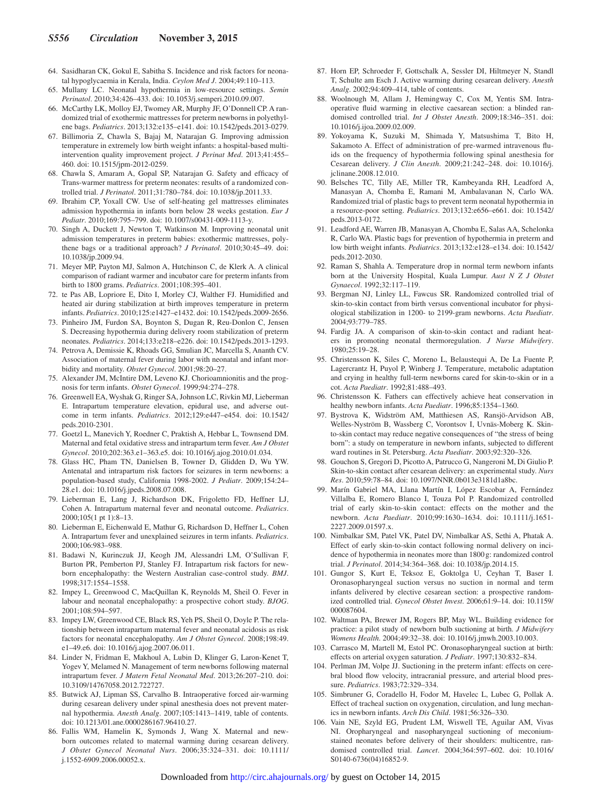- 64. Sasidharan CK, Gokul E, Sabitha S. Incidence and risk factors for neonatal hypoglycaemia in Kerala, India. *Ceylon Med J*. 2004;49:110–113.
- 65. Mullany LC. Neonatal hypothermia in low-resource settings. *Semin Perinatol*. 2010;34:426–433. doi: 10.1053/j.semperi.2010.09.007.
- 66. McCarthy LK, Molloy EJ, Twomey AR, Murphy JF, O'Donnell CP. A randomized trial of exothermic mattresses for preterm newborns in polyethylene bags. *Pediatrics*. 2013;132:e135–e141. doi: 10.1542/peds.2013-0279.
- 67. Billimoria Z, Chawla S, Bajaj M, Natarajan G. Improving admission temperature in extremely low birth weight infants: a hospital-based multiintervention quality improvement project. *J Perinat Med*. 2013;41:455– 460. doi: 10.1515/jpm-2012-0259.
- 68. Chawla S, Amaram A, Gopal SP, Natarajan G. Safety and efficacy of Trans-warmer mattress for preterm neonates: results of a randomized controlled trial. *J Perinatol*. 2011;31:780–784. doi: 10.1038/jp.2011.33.
- 69. Ibrahim CP, Yoxall CW. Use of self-heating gel mattresses eliminates admission hypothermia in infants born below 28 weeks gestation. *Eur J Pediatr*. 2010;169:795–799. doi: 10.1007/s00431-009-1113-y.
- 70. Singh A, Duckett J, Newton T, Watkinson M. Improving neonatal unit admission temperatures in preterm babies: exothermic mattresses, polythene bags or a traditional approach? *J Perinatol*. 2010;30:45–49. doi: 10.1038/jp.2009.94.
- 71. Meyer MP, Payton MJ, Salmon A, Hutchinson C, de Klerk A. A clinical comparison of radiant warmer and incubator care for preterm infants from birth to 1800 grams. *Pediatrics*. 2001;108:395–401.
- 72. te Pas AB, Lopriore E, Dito I, Morley CJ, Walther FJ. Humidified and heated air during stabilization at birth improves temperature in preterm infants. *Pediatrics*. 2010;125:e1427–e1432. doi: 10.1542/peds.2009-2656.
- 73. Pinheiro JM, Furdon SA, Boynton S, Dugan R, Reu-Donlon C, Jensen S. Decreasing hypothermia during delivery room stabilization of preterm neonates. *Pediatrics*. 2014;133:e218–e226. doi: 10.1542/peds.2013-1293.
- 74. Petrova A, Demissie K, Rhoads GG, Smulian JC, Marcella S, Ananth CV. Association of maternal fever during labor with neonatal and infant morbidity and mortality. *Obstet Gynecol*. 2001;98:20–27.
- 75. Alexander JM, McIntire DM, Leveno KJ. Chorioamnionitis and the prognosis for term infants. *Obstet Gynecol*. 1999;94:274–278.
- 76. Greenwell EA, Wyshak G, Ringer SA, Johnson LC, Rivkin MJ, Lieberman E. Intrapartum temperature elevation, epidural use, and adverse outcome in term infants. *Pediatrics*. 2012;129:e447–e454. doi: 10.1542/ peds.2010-2301.
- 77. Goetzl L, Manevich Y, Roedner C, Praktish A, Hebbar L, Townsend DM. Maternal and fetal oxidative stress and intrapartum term fever. *Am J Obstet Gynecol*. 2010;202:363.e1–363.e5. doi: 10.1016/j.ajog.2010.01.034.
- 78. Glass HC, Pham TN, Danielsen B, Towner D, Glidden D, Wu YW. Antenatal and intrapartum risk factors for seizures in term newborns: a population-based study, California 1998-2002. *J Pediatr*. 2009;154:24– 28.e1. doi: 10.1016/j.jpeds.2008.07.008.
- 79. Lieberman E, Lang J, Richardson DK, Frigoletto FD, Heffner LJ, Cohen A. Intrapartum maternal fever and neonatal outcome. *Pediatrics*. 2000;105(1 pt 1):8–13.
- 80. Lieberman E, Eichenwald E, Mathur G, Richardson D, Heffner L, Cohen A. Intrapartum fever and unexplained seizures in term infants. *Pediatrics*. 2000;106:983–988.
- 81. Badawi N, Kurinczuk JJ, Keogh JM, Alessandri LM, O'Sullivan F, Burton PR, Pemberton PJ, Stanley FJ. Intrapartum risk factors for newborn encephalopathy: the Western Australian case-control study. *BMJ*. 1998;317:1554–1558.
- 82. Impey L, Greenwood C, MacQuillan K, Reynolds M, Sheil O. Fever in labour and neonatal encephalopathy: a prospective cohort study. *BJOG*. 2001;108:594–597.
- 83. Impey LW, Greenwood CE, Black RS, Yeh PS, Sheil O, Doyle P. The relationship between intrapartum maternal fever and neonatal acidosis as risk factors for neonatal encephalopathy. *Am J Obstet Gynecol*. 2008;198:49. e1–49.e6. doi: 10.1016/j.ajog.2007.06.011.
- 84. Linder N, Fridman E, Makhoul A, Lubin D, Klinger G, Laron-Kenet T, Yogev Y, Melamed N. Management of term newborns following maternal intrapartum fever. *J Matern Fetal Neonatal Med*. 2013;26:207–210. doi: 10.3109/14767058.2012.722727.
- 85. Butwick AJ, Lipman SS, Carvalho B. Intraoperative forced air-warming during cesarean delivery under spinal anesthesia does not prevent maternal hypothermia. *Anesth Analg*. 2007;105:1413–1419, table of contents. doi: 10.1213/01.ane.0000286167.96410.27.
- 86. Fallis WM, Hamelin K, Symonds J, Wang X. Maternal and newborn outcomes related to maternal warming during cesarean delivery. *J Obstet Gynecol Neonatal Nurs*. 2006;35:324–331. doi: 10.1111/ j.1552-6909.2006.00052.x.
- 87. Horn EP, Schroeder F, Gottschalk A, Sessler DI, Hiltmeyer N, Standl T, Schulte am Esch J. Active warming during cesarean delivery. *Anesth Analg*. 2002;94:409–414, table of contents.
- 88. Woolnough M, Allam J, Hemingway C, Cox M, Yentis SM. Intraoperative fluid warming in elective caesarean section: a blinded randomised controlled trial. *Int J Obstet Anesth*. 2009;18:346–351. doi: 10.1016/j.ijoa.2009.02.009.
- 89. Yokoyama K, Suzuki M, Shimada Y, Matsushima T, Bito H, Sakamoto A. Effect of administration of pre-warmed intravenous fluids on the frequency of hypothermia following spinal anesthesia for Cesarean delivery. *J Clin Anesth*. 2009;21:242–248. doi: 10.1016/j. jclinane.2008.12.010.
- 90. Belsches TC, Tilly AE, Miller TR, Kambeyanda RH, Leadford A, Manasyan A, Chomba E, Ramani M, Ambalavanan N, Carlo WA. Randomized trial of plastic bags to prevent term neonatal hypothermia in a resource-poor setting. *Pediatrics*. 2013;132:e656–e661. doi: 10.1542/ peds.2013-0172.
- 91. Leadford AE, Warren JB, Manasyan A, Chomba E, Salas AA, Schelonka R, Carlo WA. Plastic bags for prevention of hypothermia in preterm and low birth weight infants. *Pediatrics*. 2013;132:e128–e134. doi: 10.1542/ peds.2012-2030.
- 92. Raman S, Shahla A. Temperature drop in normal term newborn infants born at the University Hospital, Kuala Lumpur. *Aust N Z J Obstet Gynaecol*. 1992;32:117–119.
- 93. Bergman NJ, Linley LL, Fawcus SR. Randomized controlled trial of skin-to-skin contact from birth versus conventional incubator for physiological stabilization in 1200- to 2199-gram newborns. *Acta Paediatr*. 2004;93:779–785.
- 94. Fardig JA. A comparison of skin-to-skin contact and radiant heaters in promoting neonatal thermoregulation. *J Nurse Midwifery*. 1980;25:19–28.
- 95. Christensson K, Siles C, Moreno L, Belaustequi A, De La Fuente P, Lagercrantz H, Puyol P, Winberg J. Temperature, metabolic adaptation and crying in healthy full-term newborns cared for skin-to-skin or in a cot. *Acta Paediatr*. 1992;81:488–493.
- 96. Christensson K. Fathers can effectively achieve heat conservation in healthy newborn infants. *Acta Paediatr*. 1996;85:1354–1360.
- 97. Bystrova K, Widström AM, Matthiesen AS, Ransjö-Arvidson AB, Welles-Nyström B, Wassberg C, Vorontsov I, Uvnäs-Moberg K. Skinto-skin contact may reduce negative consequences of "the stress of being born": a study on temperature in newborn infants, subjected to different ward routines in St. Petersburg. *Acta Paediatr*. 2003;92:320–326.
- 98. Gouchon S, Gregori D, Picotto A, Patrucco G, Nangeroni M, Di Giulio P. Skin-to-skin contact after cesarean delivery: an experimental study. *Nurs Res*. 2010;59:78–84. doi: 10.1097/NNR.0b013e3181d1a8bc.
- 99. Marín Gabriel MA, Llana Martín I, López Escobar A, Fernández Villalba E, Romero Blanco I, Touza Pol P. Randomized controlled trial of early skin-to-skin contact: effects on the mother and the newborn. *Acta Paediatr*. 2010;99:1630–1634. doi: 10.1111/j.1651- 2227.2009.01597.x.
- 100. Nimbalkar SM, Patel VK, Patel DV, Nimbalkar AS, Sethi A, Phatak A. Effect of early skin-to-skin contact following normal delivery on incidence of hypothermia in neonates more than 1800 g: randomized control trial. *J Perinatol*. 2014;34:364–368. doi: 10.1038/jp.2014.15.
- 101. Gungor S, Kurt E, Teksoz E, Goktolga U, Ceyhan T, Baser I. Oronasopharyngeal suction versus no suction in normal and term infants delivered by elective cesarean section: a prospective randomized controlled trial. *Gynecol Obstet Invest*. 2006;61:9–14. doi: 10.1159/ 000087604.
- 102. Waltman PA, Brewer JM, Rogers BP, May WL. Building evidence for practice: a pilot study of newborn bulb suctioning at birth. *J Midwifery Womens Health*. 2004;49:32–38. doi: 10.1016/j.jmwh.2003.10.003.
- 103. Carrasco M, Martell M, Estol PC. Oronasopharyngeal suction at birth: effects on arterial oxygen saturation. *J Pediatr*. 1997;130:832–834.
- 104. Perlman JM, Volpe JJ. Suctioning in the preterm infant: effects on cerebral blood flow velocity, intracranial pressure, and arterial blood pressure. *Pediatrics*. 1983;72:329–334.
- 105. Simbruner G, Coradello H, Fodor M, Havelec L, Lubec G, Pollak A. Effect of tracheal suction on oxygenation, circulation, and lung mechanics in newborn infants. *Arch Dis Child*. 1981;56:326–330.
- 106. Vain NE, Szyld EG, Prudent LM, Wiswell TE, Aguilar AM, Vivas NI. Oropharyngeal and nasopharyngeal suctioning of meconiumstained neonates before delivery of their shoulders: multicentre, randomised controlled trial. *Lancet*. 2004;364:597–602. doi: 10.1016/ S0140-6736(04)16852-9.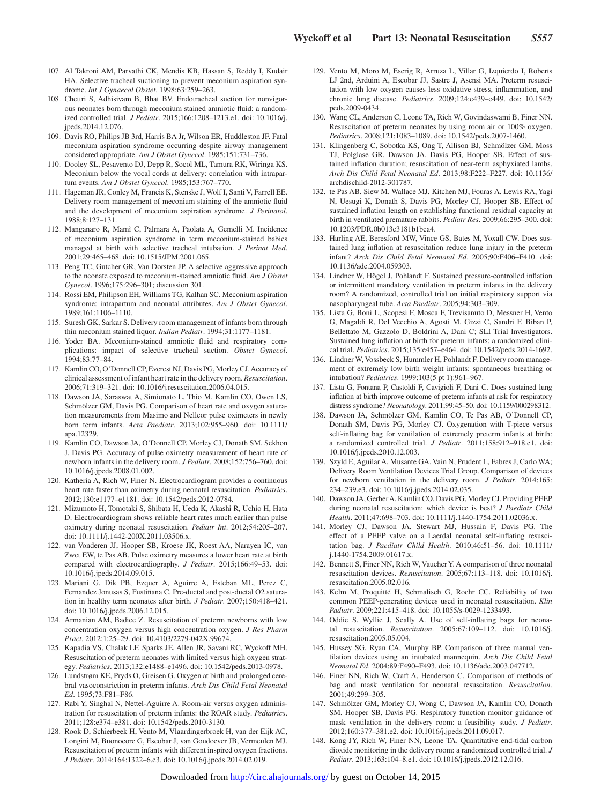- 107. Al Takroni AM, Parvathi CK, Mendis KB, Hassan S, Reddy I, Kudair HA. Selective tracheal suctioning to prevent meconium aspiration syndrome. *Int J Gynaecol Obstet*. 1998;63:259–263.
- 108. Chettri S, Adhisivam B, Bhat BV. Endotracheal suction for nonvigorous neonates born through meconium stained amniotic fluid: a randomized controlled trial. *J Pediatr*. 2015;166:1208–1213.e1. doi: 10.1016/j. jpeds.2014.12.076.
- 109. Davis RO, Philips JB 3rd, Harris BA Jr, Wilson ER, Huddleston JF. Fatal meconium aspiration syndrome occurring despite airway management considered appropriate. *Am J Obstet Gynecol*. 1985;151:731–736.
- 110. Dooley SL, Pesavento DJ, Depp R, Socol ML, Tamura RK, Wiringa KS. Meconium below the vocal cords at delivery: correlation with intrapartum events. *Am J Obstet Gynecol*. 1985;153:767–770.
- 111. Hageman JR, Conley M, Francis K, Stenske J, Wolf I, Santi V, Farrell EE. Delivery room management of meconium staining of the amniotic fluid and the development of meconium aspiration syndrome. *J Perinatol*. 1988;8:127–131.
- 112. Manganaro R, Mamì C, Palmara A, Paolata A, Gemelli M. Incidence of meconium aspiration syndrome in term meconium-stained babies managed at birth with selective tracheal intubation. *J Perinat Med*. 2001;29:465–468. doi: 10.1515/JPM.2001.065.
- 113. Peng TC, Gutcher GR, Van Dorsten JP. A selective aggressive approach to the neonate exposed to meconium-stained amniotic fluid. *Am J Obstet Gynecol*. 1996;175:296–301; discussion 301.
- 114. Rossi EM, Philipson EH, Williams TG, Kalhan SC. Meconium aspiration syndrome: intrapartum and neonatal attributes. *Am J Obstet Gynecol*. 1989;161:1106–1110.
- 115. Suresh GK, Sarkar S. Delivery room management of infants born through thin meconium stained liquor. *Indian Pediatr*. 1994;31:1177–1181.
- 116. Yoder BA. Meconium-stained amniotic fluid and respiratory complications: impact of selective tracheal suction. *Obstet Gynecol*. 1994;83:77–84.
- 117. Kamlin CO, O'Donnell CP, Everest NJ, Davis PG, Morley CJ. Accuracy of clinical assessment of infant heart rate in the delivery room. *Resuscitation*. 2006;71:319–321. doi: 10.1016/j.resuscitation.2006.04.015.
- 118. Dawson JA, Saraswat A, Simionato L, Thio M, Kamlin CO, Owen LS, Schmölzer GM, Davis PG. Comparison of heart rate and oxygen saturation measurements from Masimo and Nellcor pulse oximeters in newly born term infants. *Acta Paediatr*. 2013;102:955–960. doi: 10.1111/ apa.12329.
- 119. Kamlin CO, Dawson JA, O'Donnell CP, Morley CJ, Donath SM, Sekhon J, Davis PG. Accuracy of pulse oximetry measurement of heart rate of newborn infants in the delivery room. *J Pediatr*. 2008;152:756–760. doi: 10.1016/j.jpeds.2008.01.002.
- 120. Katheria A, Rich W, Finer N. Electrocardiogram provides a continuous heart rate faster than oximetry during neonatal resuscitation. *Pediatrics*. 2012;130:e1177–e1181. doi: 10.1542/peds.2012-0784.
- 121. Mizumoto H, Tomotaki S, Shibata H, Ueda K, Akashi R, Uchio H, Hata D. Electrocardiogram shows reliable heart rates much earlier than pulse oximetry during neonatal resuscitation. *Pediatr Int*. 2012;54:205–207. doi: 10.1111/j.1442-200X.2011.03506.x.
- 122. van Vonderen JJ, Hooper SB, Kroese JK, Roest AA, Narayen IC, van Zwet EW, te Pas AB. Pulse oximetry measures a lower heart rate at birth compared with electrocardiography. *J Pediatr*. 2015;166:49–53. doi: 10.1016/j.jpeds.2014.09.015.
- 123. Mariani G, Dik PB, Ezquer A, Aguirre A, Esteban ML, Perez C, Fernandez Jonusas S, Fustiñana C. Pre-ductal and post-ductal O2 saturation in healthy term neonates after birth. *J Pediatr*. 2007;150:418–421. doi: 10.1016/j.jpeds.2006.12.015.
- 124. Armanian AM, Badiee Z. Resuscitation of preterm newborns with low concentration oxygen versus high concentration oxygen. *J Res Pharm Pract*. 2012;1:25–29. doi: 10.4103/2279-042X.99674.
- 125. Kapadia VS, Chalak LF, Sparks JE, Allen JR, Savani RC, Wyckoff MH. Resuscitation of preterm neonates with limited versus high oxygen strategy. *Pediatrics*. 2013;132:e1488–e1496. doi: 10.1542/peds.2013-0978.
- 126. Lundstrøm KE, Pryds O, Greisen G. Oxygen at birth and prolonged cerebral vasoconstriction in preterm infants. *Arch Dis Child Fetal Neonatal Ed*. 1995;73:F81–F86.
- 127. Rabi Y, Singhal N, Nettel-Aguirre A. Room-air versus oxygen administration for resuscitation of preterm infants: the ROAR study. *Pediatrics*. 2011;128:e374–e381. doi: 10.1542/peds.2010-3130.
- 128. Rook D, Schierbeek H, Vento M, Vlaardingerbroek H, van der Eijk AC, Longini M, Buonocore G, Escobar J, van Goudoever JB, Vermeulen MJ. Resuscitation of preterm infants with different inspired oxygen fractions. *J Pediatr*. 2014;164:1322–6.e3. doi: 10.1016/j.jpeds.2014.02.019.
- 129. Vento M, Moro M, Escrig R, Arruza L, Villar G, Izquierdo I, Roberts LJ 2nd, Arduini A, Escobar JJ, Sastre J, Asensi MA. Preterm resuscitation with low oxygen causes less oxidative stress, inflammation, and chronic lung disease. *Pediatrics*. 2009;124:e439–e449. doi: 10.1542/ peds.2009-0434.
- 130. Wang CL, Anderson C, Leone TA, Rich W, Govindaswami B, Finer NN. Resuscitation of preterm neonates by using room air or 100% oxygen. *Pediatrics*. 2008;121:1083–1089. doi: 10.1542/peds.2007-1460.
- 131. Klingenberg C, Sobotka KS, Ong T, Allison BJ, Schmölzer GM, Moss TJ, Polglase GR, Dawson JA, Davis PG, Hooper SB. Effect of sustained inflation duration; resuscitation of near-term asphyxiated lambs. *Arch Dis Child Fetal Neonatal Ed*. 2013;98:F222–F227. doi: 10.1136/ archdischild-2012-301787.
- 132. te Pas AB, Siew M, Wallace MJ, Kitchen MJ, Fouras A, Lewis RA, Yagi N, Uesugi K, Donath S, Davis PG, Morley CJ, Hooper SB. Effect of sustained inflation length on establishing functional residual capacity at birth in ventilated premature rabbits. *Pediatr Res*. 2009;66:295–300. doi: 10.1203/PDR.0b013e3181b1bca4.
- 133. Harling AE, Beresford MW, Vince GS, Bates M, Yoxall CW. Does sustained lung inflation at resuscitation reduce lung injury in the preterm infant? *Arch Dis Child Fetal Neonatal Ed*. 2005;90:F406–F410. doi: 10.1136/adc.2004.059303.
- 134. Lindner W, Högel J, Pohlandt F. Sustained pressure-controlled inflation or intermittent mandatory ventilation in preterm infants in the delivery room? A randomized, controlled trial on initial respiratory support via nasopharyngeal tube. *Acta Paediatr*. 2005;94:303–309.
- 135. Lista G, Boni L, Scopesi F, Mosca F, Trevisanuto D, Messner H, Vento G, Magaldi R, Del Vecchio A, Agosti M, Gizzi C, Sandri F, Biban P, Bellettato M, Gazzolo D, Boldrini A, Dani C; SLI Trial Investigators. Sustained lung inflation at birth for preterm infants: a randomized clinical trial. *Pediatrics*. 2015;135:e457–e464. doi: 10.1542/peds.2014-1692.
- 136. Lindner W, Vossbeck S, Hummler H, Pohlandt F. Delivery room management of extremely low birth weight infants: spontaneous breathing or intubation? *Pediatrics*. 1999;103(5 pt 1):961–967.
- 137. Lista G, Fontana P, Castoldi F, Cavigioli F, Dani C. Does sustained lung inflation at birth improve outcome of preterm infants at risk for respiratory distress syndrome? *Neonatology*. 2011;99:45–50. doi: 10.1159/000298312.
- 138. Dawson JA, Schmölzer GM, Kamlin CO, Te Pas AB, O'Donnell CP, Donath SM, Davis PG, Morley CJ. Oxygenation with T-piece versus self-inflating bag for ventilation of extremely preterm infants at birth: a randomized controlled trial. *J Pediatr*. 2011;158:912–918.e1. doi: 10.1016/j.jpeds.2010.12.003.
- 139. Szyld E, Aguilar A, Musante GA, Vain N, Prudent L, Fabres J, Carlo WA; Delivery Room Ventilation Devices Trial Group. Comparison of devices for newborn ventilation in the delivery room. *J Pediatr*. 2014;165: 234–239.e3. doi: 10.1016/j.jpeds.2014.02.035.
- 140. Dawson JA, Gerber A, Kamlin CO, Davis PG, Morley CJ. Providing PEEP during neonatal resuscitation: which device is best? *J Paediatr Child Health*. 2011;47:698–703. doi: 10.1111/j.1440-1754.2011.02036.x.
- 141. Morley CJ, Dawson JA, Stewart MJ, Hussain F, Davis PG. The effect of a PEEP valve on a Laerdal neonatal self-inflating resuscitation bag. *J Paediatr Child Health*. 2010;46:51–56. doi: 10.1111/ j.1440-1754.2009.01617.x.
- 142. Bennett S, Finer NN, Rich W, Vaucher Y. A comparison of three neonatal resuscitation devices. *Resuscitation*. 2005;67:113–118. doi: 10.1016/j. resuscitation.2005.02.016.
- 143. Kelm M, Proquitté H, Schmalisch G, Roehr CC. Reliability of two common PEEP-generating devices used in neonatal resuscitation. *Klin Padiatr*. 2009;221:415–418. doi: 10.1055/s-0029-1233493.
- 144. Oddie S, Wyllie J, Scally A. Use of self-inflating bags for neonatal resuscitation. *Resuscitation*. 2005;67:109–112. doi: 10.1016/j. resuscitation.2005.05.004.
- 145. Hussey SG, Ryan CA, Murphy BP. Comparison of three manual ventilation devices using an intubated mannequin. *Arch Dis Child Fetal Neonatal Ed*. 2004;89:F490–F493. doi: 10.1136/adc.2003.047712.
- 146. Finer NN, Rich W, Craft A, Henderson C. Comparison of methods of bag and mask ventilation for neonatal resuscitation. *Resuscitation*. 2001;49:299–305.
- 147. Schmölzer GM, Morley CJ, Wong C, Dawson JA, Kamlin CO, Donath SM, Hooper SB, Davis PG. Respiratory function monitor guidance of mask ventilation in the delivery room: a feasibility study. *J Pediatr*. 2012;160:377–381.e2. doi: 10.1016/j.jpeds.2011.09.017.
- 148. Kong JY, Rich W, Finer NN, Leone TA. Quantitative end-tidal carbon dioxide monitoring in the delivery room: a randomized controlled trial. *J Pediatr*. 2013;163:104–8.e1. doi: 10.1016/j.jpeds.2012.12.016.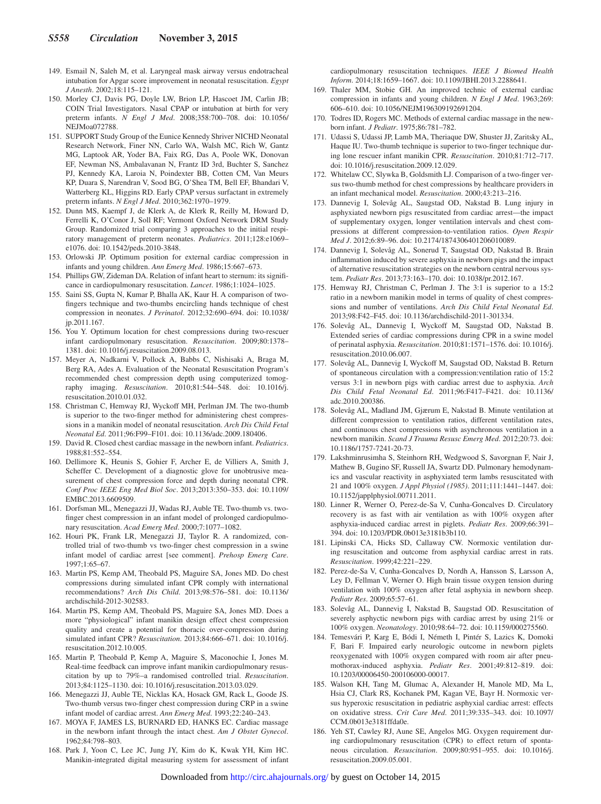- 149. Esmail N, Saleh M, et al. Laryngeal mask airway versus endotracheal intubation for Apgar score improvement in neonatal resuscitation. *Egypt J Anesth*. 2002;18:115–121.
- 150. Morley CJ, Davis PG, Doyle LW, Brion LP, Hascoet JM, Carlin JB; COIN Trial Investigators. Nasal CPAP or intubation at birth for very preterm infants. *N Engl J Med*. 2008;358:700–708. doi: 10.1056/ NEJM<sub>03</sub>072788
- 151. SUPPORT Study Group of the Eunice Kennedy Shriver NICHD Neonatal Research Network, Finer NN, Carlo WA, Walsh MC, Rich W, Gantz MG, Laptook AR, Yoder BA, Faix RG, Das A, Poole WK, Donovan EF, Newman NS, Ambalavanan N, Frantz ID 3rd, Buchter S, Sanchez PJ, Kennedy KA, Laroia N, Poindexter BB, Cotten CM, Van Meurs KP, Duara S, Narendran V, Sood BG, O'Shea TM, Bell EF, Bhandari V, Watterberg KL, Higgins RD. Early CPAP versus surfactant in extremely preterm infants. *N Engl J Med*. 2010;362:1970–1979.
- 152. Dunn MS, Kaempf J, de Klerk A, de Klerk R, Reilly M, Howard D, Ferrelli K, O'Conor J, Soll RF; Vermont Oxford Network DRM Study Group. Randomized trial comparing 3 approaches to the initial respiratory management of preterm neonates. *Pediatrics*. 2011;128:e1069– e1076. doi: 10.1542/peds.2010-3848.
- 153. Orlowski JP. Optimum position for external cardiac compression in infants and young children. *Ann Emerg Med*. 1986;15:667–673.
- 154. Phillips GW, Zideman DA. Relation of infant heart to sternum: its significance in cardiopulmonary resuscitation. *Lancet*. 1986;1:1024–1025.
- 155. Saini SS, Gupta N, Kumar P, Bhalla AK, Kaur H. A comparison of twofingers technique and two-thumbs encircling hands technique of chest compression in neonates. *J Perinatol*. 2012;32:690–694. doi: 10.1038/ jp.2011.167.
- 156. You Y. Optimum location for chest compressions during two-rescuer infant cardiopulmonary resuscitation. *Resuscitation*. 2009;80:1378– 1381. doi: 10.1016/j.resuscitation.2009.08.013.
- 157. Meyer A, Nadkarni V, Pollock A, Babbs C, Nishisaki A, Braga M, Berg RA, Ades A. Evaluation of the Neonatal Resuscitation Program's recommended chest compression depth using computerized tomography imaging. *Resuscitation*. 2010;81:544–548. doi: 10.1016/j. resuscitation.2010.01.032.
- 158. Christman C, Hemway RJ, Wyckoff MH, Perlman JM. The two-thumb is superior to the two-finger method for administering chest compressions in a manikin model of neonatal resuscitation. *Arch Dis Child Fetal Neonatal Ed*. 2011;96:F99–F101. doi: 10.1136/adc.2009.180406.
- 159. David R. Closed chest cardiac massage in the newborn infant. *Pediatrics*. 1988;81:552–554.
- 160. Dellimore K, Heunis S, Gohier F, Archer E, de Villiers A, Smith J, Scheffer C. Development of a diagnostic glove for unobtrusive measurement of chest compression force and depth during neonatal CPR. *Conf Proc IEEE Eng Med Biol Soc*. 2013;2013:350–353. doi: 10.1109/ EMBC.2013.6609509.
- 161. Dorfsman ML, Menegazzi JJ, Wadas RJ, Auble TE. Two-thumb vs. twofinger chest compression in an infant model of prolonged cardiopulmonary resuscitation. *Acad Emerg Med*. 2000;7:1077–1082.
- 162. Houri PK, Frank LR, Menegazzi JJ, Taylor R. A randomized, controlled trial of two-thumb vs two-finger chest compression in a swine infant model of cardiac arrest [see comment]. *Prehosp Emerg Care*. 1997;1:65–67.
- 163. Martin PS, Kemp AM, Theobald PS, Maguire SA, Jones MD. Do chest compressions during simulated infant CPR comply with international recommendations? *Arch Dis Child*. 2013;98:576–581. doi: 10.1136/ archdischild-2012-302583.
- 164. Martin PS, Kemp AM, Theobald PS, Maguire SA, Jones MD. Does a more "physiological" infant manikin design effect chest compression quality and create a potential for thoracic over-compression during simulated infant CPR? *Resuscitation*. 2013;84:666–671. doi: 10.1016/j. resuscitation.2012.10.005.
- 165. Martin P, Theobald P, Kemp A, Maguire S, Maconochie I, Jones M. Real-time feedback can improve infant manikin cardiopulmonary resuscitation by up to 79%–a randomised controlled trial. *Resuscitation*. 2013;84:1125–1130. doi: 10.1016/j.resuscitation.2013.03.029.
- 166. Menegazzi JJ, Auble TE, Nicklas KA, Hosack GM, Rack L, Goode JS. Two-thumb versus two-finger chest compression during CRP in a swine infant model of cardiac arrest. *Ann Emerg Med*. 1993;22:240–243.
- 167. MOYA F, JAMES LS, BURNARD ED, HANKS EC. Cardiac massage in the newborn infant through the intact chest. *Am J Obstet Gynecol*. 1962;84:798–803.
- 168. Park J, Yoon C, Lee JC, Jung JY, Kim do K, Kwak YH, Kim HC. Manikin-integrated digital measuring system for assessment of infant

cardiopulmonary resuscitation techniques. *IEEE J Biomed Health Inform*. 2014;18:1659–1667. doi: 10.1109/JBHI.2013.2288641.

- 169. Thaler MM, Stobie GH. An improved technic of external cardiac compression in infants and young children. *N Engl J Med*. 1963;269: 606–610. doi: 10.1056/NEJM196309192691204.
- 170. Todres ID, Rogers MC. Methods of external cardiac massage in the newborn infant. *J Pediatr*. 1975;86:781–782.
- 171. Udassi S, Udassi JP, Lamb MA, Theriaque DW, Shuster JJ, Zaritsky AL, Haque IU. Two-thumb technique is superior to two-finger technique during lone rescuer infant manikin CPR. *Resuscitation*. 2010;81:712–717. doi: 10.1016/j.resuscitation.2009.12.029.
- 172. Whitelaw CC, Slywka B, Goldsmith LJ. Comparison of a two-finger versus two-thumb method for chest compressions by healthcare providers in an infant mechanical model. *Resuscitation*. 2000;43:213–216.
- 173. Dannevig I, Solevåg AL, Saugstad OD, Nakstad B. Lung injury in asphyxiated newborn pigs resuscitated from cardiac arrest—the impact of supplementary oxygen, longer ventilation intervals and chest compressions at different compression-to-ventilation ratios. *Open Respir Med J*. 2012;6:89–96. doi: 10.2174/1874306401206010089.
- 174. Dannevig I, Solevåg AL, Sonerud T, Saugstad OD, Nakstad B. Brain inflammation induced by severe asphyxia in newborn pigs and the impact of alternative resuscitation strategies on the newborn central nervous system. *Pediatr Res*. 2013;73:163–170. doi: 10.1038/pr.2012.167.
- 175. Hemway RJ, Christman C, Perlman J. The 3:1 is superior to a 15:2 ratio in a newborn manikin model in terms of quality of chest compressions and number of ventilations. *Arch Dis Child Fetal Neonatal Ed*. 2013;98:F42–F45. doi: 10.1136/archdischild-2011-301334.
- 176. Solevåg AL, Dannevig I, Wyckoff M, Saugstad OD, Nakstad B. Extended series of cardiac compressions during CPR in a swine model of perinatal asphyxia. *Resuscitation*. 2010;81:1571–1576. doi: 10.1016/j. resuscitation.2010.06.007.
- 177. Solevåg AL, Dannevig I, Wyckoff M, Saugstad OD, Nakstad B. Return of spontaneous circulation with a compression:ventilation ratio of 15:2 versus 3:1 in newborn pigs with cardiac arrest due to asphyxia. *Arch Dis Child Fetal Neonatal Ed*. 2011;96:F417–F421. doi: 10.1136/ adc.2010.200386.
- 178. Solevåg AL, Madland JM, Gjærum E, Nakstad B. Minute ventilation at different compression to ventilation ratios, different ventilation rates, and continuous chest compressions with asynchronous ventilation in a newborn manikin. *Scand J Trauma Resusc Emerg Med*. 2012;20:73. doi: 10.1186/1757-7241-20-73.
- 179. Lakshminrusimha S, Steinhorn RH, Wedgwood S, Savorgnan F, Nair J, Mathew B, Gugino SF, Russell JA, Swartz DD. Pulmonary hemodynamics and vascular reactivity in asphyxiated term lambs resuscitated with 21 and 100% oxygen. *J Appl Physiol (1985)*. 2011;111:1441–1447. doi: 10.1152/japplphysiol.00711.2011.
- 180. Linner R, Werner O, Perez-de-Sa V, Cunha-Goncalves D. Circulatory recovery is as fast with air ventilation as with 100% oxygen after asphyxia-induced cardiac arrest in piglets. *Pediatr Res*. 2009;66:391– 394. doi: 10.1203/PDR.0b013e3181b3b110.
- 181. Lipinski CA, Hicks SD, Callaway CW. Normoxic ventilation during resuscitation and outcome from asphyxial cardiac arrest in rats. *Resuscitation*. 1999;42:221–229.
- 182. Perez-de-Sa V, Cunha-Goncalves D, Nordh A, Hansson S, Larsson A, Ley D, Fellman V, Werner O. High brain tissue oxygen tension during ventilation with 100% oxygen after fetal asphyxia in newborn sheep. *Pediatr Res*. 2009;65:57–61.
- 183. Solevåg AL, Dannevig I, Nakstad B, Saugstad OD. Resuscitation of severely asphyctic newborn pigs with cardiac arrest by using 21% or 100% oxygen. *Neonatology*. 2010;98:64–72. doi: 10.1159/000275560.
- 184. Temesvári P, Karg E, Bódi I, Németh I, Pintér S, Lazics K, Domoki F, Bari F. Impaired early neurologic outcome in newborn piglets reoxygenated with 100% oxygen compared with room air after pneumothorax-induced asphyxia. *Pediatr Res*. 2001;49:812–819. doi: 10.1203/00006450-200106000-00017.
- 185. Walson KH, Tang M, Glumac A, Alexander H, Manole MD, Ma L, Hsia CJ, Clark RS, Kochanek PM, Kagan VE, Bayr H. Normoxic versus hyperoxic resuscitation in pediatric asphyxial cardiac arrest: effects on oxidative stress. *Crit Care Med*. 2011;39:335–343. doi: 10.1097/ CCM.0b013e3181ffda0e.
- 186. Yeh ST, Cawley RJ, Aune SE, Angelos MG. Oxygen requirement during cardiopulmonary resuscitation (CPR) to effect return of spontaneous circulation. *Resuscitation*. 2009;80:951–955. doi: 10.1016/j. resuscitation.2009.05.001.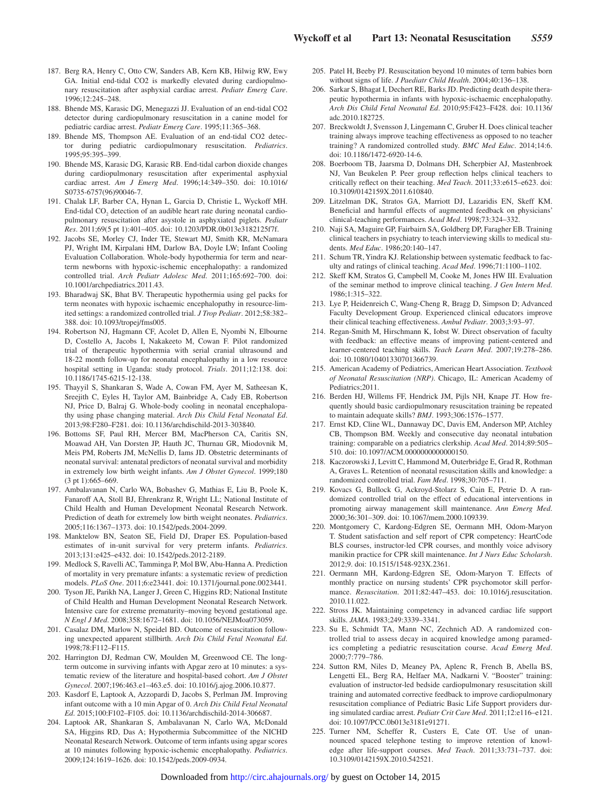- 187. Berg RA, Henry C, Otto CW, Sanders AB, Kern KB, Hilwig RW, Ewy GA. Initial end-tidal CO2 is markedly elevated during cardiopulmonary resuscitation after asphyxial cardiac arrest. *Pediatr Emerg Care*. 1996;12:245–248.
- 188. Bhende MS, Karasic DG, Menegazzi JJ. Evaluation of an end-tidal CO2 detector during cardiopulmonary resuscitation in a canine model for pediatric cardiac arrest. *Pediatr Emerg Care*. 1995;11:365–368.
- 189. Bhende MS, Thompson AE. Evaluation of an end-tidal CO2 detector during pediatric cardiopulmonary resuscitation. *Pediatrics*. 1995;95:395–399.
- 190. Bhende MS, Karasic DG, Karasic RB. End-tidal carbon dioxide changes during cardiopulmonary resuscitation after experimental asphyxial cardiac arrest. *Am J Emerg Med*. 1996;14:349–350. doi: 10.1016/ S0735-6757(96)90046-7.
- 191. Chalak LF, Barber CA, Hynan L, Garcia D, Christie L, Wyckoff MH. End-tidal  $CO<sub>2</sub>$  detection of an audible heart rate during neonatal cardiopulmonary resuscitation after asystole in asphyxiated piglets. *Pediatr Res*. 2011;69(5 pt 1):401–405. doi: 10.1203/PDR.0b013e3182125f7f.
- 192. Jacobs SE, Morley CJ, Inder TE, Stewart MJ, Smith KR, McNamara PJ, Wright IM, Kirpalani HM, Darlow BA, Doyle LW; Infant Cooling Evaluation Collaboration. Whole-body hypothermia for term and nearterm newborns with hypoxic-ischemic encephalopathy: a randomized controlled trial. *Arch Pediatr Adolesc Med*. 2011;165:692–700. doi: 10.1001/archpediatrics.2011.43.
- 193. Bharadwaj SK, Bhat BV. Therapeutic hypothermia using gel packs for term neonates with hypoxic ischaemic encephalopathy in resource-limited settings: a randomized controlled trial. *J Trop Pediatr*. 2012;58:382– 388. doi: 10.1093/tropej/fms005.
- 194. Robertson NJ, Hagmann CF, Acolet D, Allen E, Nyombi N, Elbourne D, Costello A, Jacobs I, Nakakeeto M, Cowan F. Pilot randomized trial of therapeutic hypothermia with serial cranial ultrasound and 18-22 month follow-up for neonatal encephalopathy in a low resource hospital setting in Uganda: study protocol. *Trials*. 2011;12:138. doi: 10.1186/1745-6215-12-138.
- 195. Thayyil S, Shankaran S, Wade A, Cowan FM, Ayer M, Satheesan K, Sreejith C, Eyles H, Taylor AM, Bainbridge A, Cady EB, Robertson NJ, Price D, Balraj G. Whole-body cooling in neonatal encephalopathy using phase changing material. *Arch Dis Child Fetal Neonatal Ed*. 2013;98:F280–F281. doi: 10.1136/archdischild-2013-303840.
- 196. Bottoms SF, Paul RH, Mercer BM, MacPherson CA, Caritis SN, Moawad AH, Van Dorsten JP, Hauth JC, Thurnau GR, Miodovnik M, Meis PM, Roberts JM, McNellis D, Iams JD. Obstetric determinants of neonatal survival: antenatal predictors of neonatal survival and morbidity in extremely low birth weight infants. *Am J Obstet Gynecol*. 1999;180 (3 pt 1):665–669.
- 197. Ambalavanan N, Carlo WA, Bobashev G, Mathias E, Liu B, Poole K, Fanaroff AA, Stoll BJ, Ehrenkranz R, Wright LL; National Institute of Child Health and Human Development Neonatal Research Network. Prediction of death for extremely low birth weight neonates. *Pediatrics*. 2005;116:1367–1373. doi: 10.1542/peds.2004-2099.
- 198. Manktelow BN, Seaton SE, Field DJ, Draper ES. Population-based estimates of in-unit survival for very preterm infants. *Pediatrics*. 2013;131:e425–e432. doi: 10.1542/peds.2012-2189.
- 199. Medlock S, Ravelli AC, Tamminga P, Mol BW, Abu-Hanna A. Prediction of mortality in very premature infants: a systematic review of prediction models. *PLoS One*. 2011;6:e23441. doi: 10.1371/journal.pone.0023441.
- 200. Tyson JE, Parikh NA, Langer J, Green C, Higgins RD; National Institute of Child Health and Human Development Neonatal Research Network. Intensive care for extreme prematurity–moving beyond gestational age. *N Engl J Med*. 2008;358:1672–1681. doi: 10.1056/NEJMoa073059.
- 201. Casalaz DM, Marlow N, Speidel BD. Outcome of resuscitation following unexpected apparent stillbirth. *Arch Dis Child Fetal Neonatal Ed*. 1998;78:F112–F115.
- 202. Harrington DJ, Redman CW, Moulden M, Greenwood CE. The longterm outcome in surviving infants with Apgar zero at 10 minutes: a systematic review of the literature and hospital-based cohort. *Am J Obstet Gynecol*. 2007;196:463.e1–463.e5. doi: 10.1016/j.ajog.2006.10.877.
- 203. Kasdorf E, Laptook A, Azzopardi D, Jacobs S, Perlman JM. Improving infant outcome with a 10 min Apgar of 0. *Arch Dis Child Fetal Neonatal Ed*. 2015;100:F102–F105. doi: 10.1136/archdischild-2014-306687.
- 204. Laptook AR, Shankaran S, Ambalavanan N, Carlo WA, McDonald SA, Higgins RD, Das A; Hypothermia Subcommittee of the NICHD Neonatal Research Network. Outcome of term infants using apgar scores at 10 minutes following hypoxic-ischemic encephalopathy. *Pediatrics*. 2009;124:1619–1626. doi: 10.1542/peds.2009-0934.
- 205. Patel H, Beeby PJ. Resuscitation beyond 10 minutes of term babies born without signs of life. *J Paediatr Child Health*. 2004;40:136–138.
- 206. Sarkar S, Bhagat I, Dechert RE, Barks JD. Predicting death despite therapeutic hypothermia in infants with hypoxic-ischaemic encephalopathy. *Arch Dis Child Fetal Neonatal Ed*. 2010;95:F423–F428. doi: 10.1136/ adc.2010.182725.
- 207. Breckwoldt J, Svensson J, Lingemann C, Gruber H. Does clinical teacher training always improve teaching effectiveness as opposed to no teacher training? A randomized controlled study. *BMC Med Educ*. 2014;14:6. doi: 10.1186/1472-6920-14-6.
- 208. Boerboom TB, Jaarsma D, Dolmans DH, Scherpbier AJ, Mastenbroek NJ, Van Beukelen P. Peer group reflection helps clinical teachers to critically reflect on their teaching. *Med Teach*. 2011;33:e615–e623. doi: 10.3109/0142159X.2011.610840.
- 209. Litzelman DK, Stratos GA, Marriott DJ, Lazaridis EN, Skeff KM. Beneficial and harmful effects of augmented feedback on physicians' clinical-teaching performances. *Acad Med*. 1998;73:324–332.
- 210. Naji SA, Maguire GP, Fairbairn SA, Goldberg DP, Faragher EB. Training clinical teachers in psychiatry to teach interviewing skills to medical students. *Med Educ*. 1986;20:140–147.
- 211. Schum TR, Yindra KJ. Relationship between systematic feedback to faculty and ratings of clinical teaching. *Acad Med*. 1996;71:1100–1102.
- 212. Skeff KM, Stratos G, Campbell M, Cooke M, Jones HW III. Evaluation of the seminar method to improve clinical teaching. *J Gen Intern Med*. 1986;1:315–322.
- 213. Lye P, Heidenreich C, Wang-Cheng R, Bragg D, Simpson D; Advanced Faculty Development Group. Experienced clinical educators improve their clinical teaching effectiveness. *Ambul Pediatr*. 2003;3:93–97.
- 214. Regan-Smith M, Hirschmann K, Iobst W. Direct observation of faculty with feedback: an effective means of improving patient-centered and learner-centered teaching skills. *Teach Learn Med*. 2007;19:278–286. doi: 10.1080/10401330701366739.
- 215. American Academy of Pediatrics, American Heart Association. *Textbook of Neonatal Resuscitation (NRP)*. Chicago, IL: American Academy of Pediatrics;2011.
- 216. Berden HJ, Willems FF, Hendrick JM, Pijls NH, Knape JT. How frequently should basic cardiopulmonary resuscitation training be repeated to maintain adequate skills? *BMJ*. 1993;306:1576–1577.
- 217. Ernst KD, Cline WL, Dannaway DC, Davis EM, Anderson MP, Atchley CB, Thompson BM. Weekly and consecutive day neonatal intubation training: comparable on a pediatrics clerkship. *Acad Med*. 2014;89:505– 510. doi: 10.1097/ACM.0000000000000150.
- 218. Kaczorowski J, Levitt C, Hammond M, Outerbridge E, Grad R, Rothman A, Graves L. Retention of neonatal resuscitation skills and knowledge: a randomized controlled trial. *Fam Med*. 1998;30:705–711.
- 219. Kovacs G, Bullock G, Ackroyd-Stolarz S, Cain E, Petrie D. A randomized controlled trial on the effect of educational interventions in promoting airway management skill maintenance. *Ann Emerg Med*. 2000;36:301–309. doi: 10.1067/mem.2000.109339.
- 220. Montgomery C, Kardong-Edgren SE, Oermann MH, Odom-Maryon T. Student satisfaction and self report of CPR competency: HeartCode BLS courses, instructor-led CPR courses, and monthly voice advisory manikin practice for CPR skill maintenance. *Int J Nurs Educ Scholarsh*. 2012;9. doi: 10.1515/1548-923X.2361.
- 221. Oermann MH, Kardong-Edgren SE, Odom-Maryon T. Effects of monthly practice on nursing students' CPR psychomotor skill performance. *Resuscitation*. 2011;82:447–453. doi: 10.1016/j.resuscitation. 2010.11.022.
- 222. Stross JK. Maintaining competency in advanced cardiac life support skills. *JAMA*. 1983;249:3339–3341.
- 223. Su E, Schmidt TA, Mann NC, Zechnich AD. A randomized controlled trial to assess decay in acquired knowledge among paramedics completing a pediatric resuscitation course. *Acad Emerg Med*. 2000;7:779–786.
- 224. Sutton RM, Niles D, Meaney PA, Aplenc R, French B, Abella BS, Lengetti EL, Berg RA, Helfaer MA, Nadkarni V. "Booster" training: evaluation of instructor-led bedside cardiopulmonary resuscitation skill training and automated corrective feedback to improve cardiopulmonary resuscitation compliance of Pediatric Basic Life Support providers during simulated cardiac arrest. *Pediatr Crit Care Med*. 2011;12:e116–e121. doi: 10.1097/PCC.0b013e3181e91271.
- 225. Turner NM, Scheffer R, Custers E, Cate OT. Use of unannounced spaced telephone testing to improve retention of knowledge after life-support courses. *Med Teach*. 2011;33:731–737. doi: 10.3109/0142159X.2010.542521.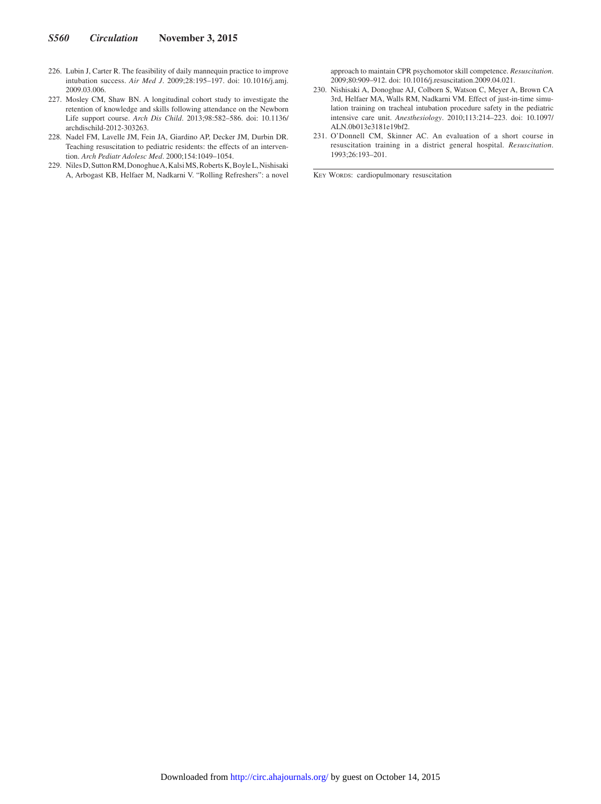- 226. Lubin J, Carter R. The feasibility of daily mannequin practice to improve intubation success. *Air Med J*. 2009;28:195–197. doi: 10.1016/j.amj. 2009.03.006.
- 227. Mosley CM, Shaw BN. A longitudinal cohort study to investigate the retention of knowledge and skills following attendance on the Newborn Life support course. *Arch Dis Child*. 2013;98:582–586. doi: 10.1136/ archdischild-2012-303263.
- 228. Nadel FM, Lavelle JM, Fein JA, Giardino AP, Decker JM, Durbin DR. Teaching resuscitation to pediatric residents: the effects of an intervention. *Arch Pediatr Adolesc Med*. 2000;154:1049–1054.
- 229. Niles D, Sutton RM, Donoghue A, Kalsi MS, Roberts K, Boyle L, Nishisaki A, Arbogast KB, Helfaer M, Nadkarni V. "Rolling Refreshers": a novel

approach to maintain CPR psychomotor skill competence. *Resuscitation*. 2009;80:909–912. doi: 10.1016/j.resuscitation.2009.04.021.

- 230. Nishisaki A, Donoghue AJ, Colborn S, Watson C, Meyer A, Brown CA 3rd, Helfaer MA, Walls RM, Nadkarni VM. Effect of just-in-time simulation training on tracheal intubation procedure safety in the pediatric intensive care unit. *Anesthesiology*. 2010;113:214–223. doi: 10.1097/ ALN.0b013e3181e19bf2.
- 231. O'Donnell CM, Skinner AC. An evaluation of a short course in resuscitation training in a district general hospital. *Resuscitation*. 1993;26:193–201.

KEY WORDS: cardiopulmonary resuscitation